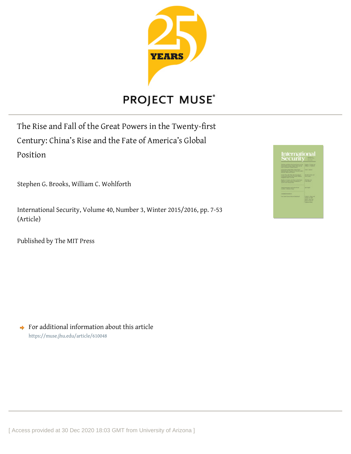

# **PROJECT MUSE®**

The Rise and Fall of the Great Powers in the Twenty-first Century: China's Rise and the Fate of America's Global Position

Stephen G. Brooks, William C. Wohlforth

International Security, Volume 40, Number 3, Winter 2015/2016, pp. 7-53 (Article)

Published by The MIT Press



 $\rightarrow$  For additional information about this article <https://muse.jhu.edu/article/610048>

[ Access provided at 30 Dec 2020 18:03 GMT from University of Arizona ]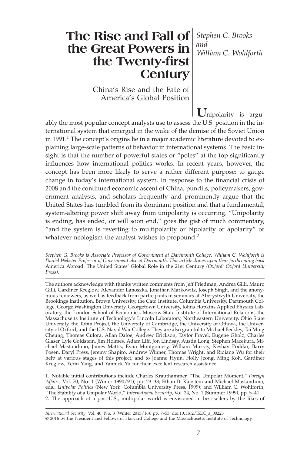## **The Rise and Fall of** *Stephen G. Brooks* **the Great Powers in** the Twenty-first **Century**

*and William C. Wohlforth*

China's Rise and the Fate of America's Global Position

**U**nipolarity is arguably the most popular concept analysts use to assess the U.S. position in the international system that emerged in the wake of the demise of the Soviet Union in 1991.<sup>1</sup> The concept's origins lie in a major academic literature devoted to explaining large-scale patterns of behavior in international systems. The basic insight is that the number of powerful states or "poles" at the top significantly influences how international politics works. In recent years, however, the concept has been more likely to serve a rather different purpose: to gauge change in today's international system. In response to the financial crisis of 2008 and the continued economic ascent of China, pundits, policymakers, government analysts, and scholars frequently and prominently argue that the United States has tumbled from its dominant position and that a fundamental, system-altering power shift away from unipolarity is occurring. "Unipolarity is ending, has ended, or will soon end," goes the gist of much commentary, "and the system is reverting to multipolarity or bipolarity or apolarity" or whatever neologism the analyst wishes to propound.<sup>2</sup>

*Stephen G. Brooks is Associate Professor of Government at Dartmouth College. William C. Wohlforth is Daniel Webster Professor of Government also at Dartmouth. This article draws upon their forthcoming book* America Abroad: The United States' Global Role in the 21st Century *(Oxford: Oxford University Press).*

The authors acknowledge with thanks written comments from Jeff Friedman, Andrea Gilli, Mauro Gilli, Gardiner Kreglow, Alexander Lanoszka, Jonathan Markowitz, Joseph Singh, and the anonymous reviewers, as well as feedback from participants in seminars at Aberystwyth University, the Brookings Institution, Brown University, the Cato Institute, Columbia University, Dartmouth College, George Washington University, Georgetown University, Johns Hopkins Applied Physics Laboratory, the London School of Economics, Moscow State Institute of International Relations, the Massachusetts Institute of Technology's Lincoln Laboratory, Northeastern University, Ohio State University, the Tobin Project, the University of Cambridge, the University of Ottawa, the University of Oxford, and the U.S. Naval War College. They are also grateful to Michael Beckley, Tai Ming Cheung, Thomas Culora, Allan Dafoe, Andrew Erickson, Taylor Fravel, Eugene Gholz, Charles Glaser, Lyle Goldstein, Jim Holmes, Adam Liff, Jon Lindsay, Austin Long, Stephen Macekura, Michael Mastanduno, James Mattis, Evan Montgomery, William Murray, Keshav Poddar, Barry Posen, Daryl Press, Jeremy Shapiro, Andrew Winner, Thomas Wright, and Riqiang Wu for their help at various stages of this project, and to Joanne Hyun, Holly Jeong, Ming Koh, Gardiner Kreglow, Yerin Yang, and Yannick Yu for their excellent research assistance.

1. Notable initial contributions include Charles Krauthammer, "The Unipolar Moment," *Foreign Affairs*, Vol. 70, No. 1 (Winter 1990/91), pp. 23–33; Ethan B. Kapstein and Michael Mastanduno, eds., *Unipolar Politics* (New York: Columbia University Press, 1999); and William C. Wohlforth, "The Stability of a Unipolar World," *International Security*, Vol. 24, No. 1 (Summer 1999), pp. 5–41. 2. The approach of a post-U.S., multipolar world is envisioned in best-sellers by the likes of

*International Security,* Vol. 40, No. 3 (Winter 2015/16), pp. 7–53, doi:10.1162/ISEC\_a\_00225 © 2016 by the President and Fellows of Harvard College and the Massachusetts Institute of Technology.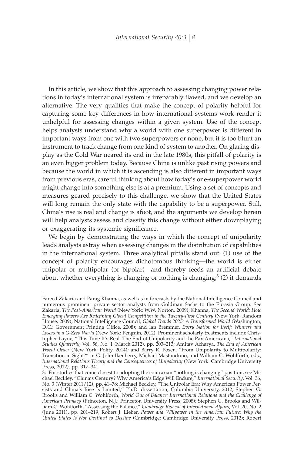In this article, we show that this approach to assessing changing power relations in today's international system is irreparably flawed, and we develop an alternative. The very qualities that make the concept of polarity helpful for capturing some key differences in how international systems work render it unhelpful for assessing changes within a given system. Use of the concept helps analysts understand why a world with one superpower is different in important ways from one with two superpowers or none, but it is too blunt an instrument to track change from one kind of system to another. On glaring display as the Cold War neared its end in the late 1980s, this pitfall of polarity is an even bigger problem today. Because China is unlike past rising powers and because the world in which it is ascending is also different in important ways from previous eras, careful thinking about how today's one-superpower world might change into something else is at a premium. Using a set of concepts and measures geared precisely to this challenge, we show that the United States will long remain the only state with the capability to be a superpower. Still, China's rise is real and change is afoot, and the arguments we develop herein will help analysts assess and classify this change without either downplaying or exaggerating its systemic significance.

We begin by demonstrating the ways in which the concept of unipolarity leads analysts astray when assessing changes in the distribution of capabilities in the international system. Three analytical pitfalls stand out: (1) use of the concept of polarity encourages dichotomous thinking—the world is either unipolar or multipolar (or bipolar)—and thereby feeds an artificial debate about whether everything is changing or nothing is changing;<sup>3</sup> (2) it demands

Fareed Zakaria and Parag Khanna, as well as in forecasts by the National Intelligence Council and numerous prominent private sector analysts from Goldman Sachs to the Eurasia Group. See Zakaria, *The Post-American World* (New York: W.W. Norton, 2009); Khanna, *The Second World: How Emerging Powers Are Redefining Global Competition in the Twenty-First Century* (New York: Random House, 2009); National Intelligence Council, *Global Trends 2025: A Transformed World* (Washington, D.C.: Government Printing Office, 2008); and Ian Bremmer, *Every Nation for Itself: Winners and Losers in a G-Zero World* (New York: Penguin, 2012). Prominent scholarly treatments include Christopher Layne, "This Time It's Real: The End of Unipolarity and the Pax Americana," *International Studies Quarterly*, Vol. 56, No. 1 (March 2012), pp. 203–213; Amitav Acharya, *The End of American World Order* (New York: Polity, 2014); and Barry R. Posen, "From Unipolarity to Multipolarity: Transition in Sight?" in G. John Ikenberry, Michael Mastanduno, and William C. Wohlforth, eds., *International Relations Theory and the Consequences of Unipolarity* (New York: Cambridge University Press, 2012), pp. 317–341.

<sup>3.</sup> For studies that come closest to adopting the contrarian "nothing is changing" position, see Michael Beckley, "China's Century? Why America's Edge Will Endure," *International Security*, Vol. 36, No. 3 (Winter 2011/12), pp. 41–78; Michael Beckley, "The Unipolar Era: Why American Power Persists and China's Rise Is Limited," Ph.D. dissertation, Columbia University, 2012; Stephen G. Brooks and William C. Wohlforth, *World Out of Balance: International Relations and the Challenge of American Primacy* (Princeton, N.J.: Princeton University Press, 2008); Stephen G. Brooks and William C. Wohlforth, "Assessing the Balance," *Cambridge Review of International Affairs*, Vol. 20, No. 2 (June 2011), pp. 201–219; Robert J. Lieber, *Power and Willpower in the American Future: Why the United States Is Not Destined to Decline* (Cambridge: Cambridge University Press, 2012); Robert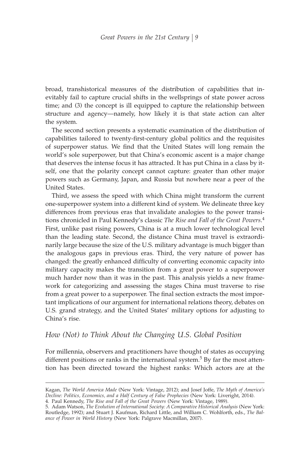broad, transhistorical measures of the distribution of capabilities that inevitably fail to capture crucial shifts in the wellsprings of state power across time; and (3) the concept is ill equipped to capture the relationship between structure and agency—namely, how likely it is that state action can alter the system.

The second section presents a systematic examination of the distribution of capabilities tailored to twenty-first-century global politics and the requisites of superpower status. We find that the United States will long remain the world's sole superpower, but that China's economic ascent is a major change that deserves the intense focus it has attracted. It has put China in a class by itself, one that the polarity concept cannot capture: greater than other major powers such as Germany, Japan, and Russia but nowhere near a peer of the United States.

Third, we assess the speed with which China might transform the current one-superpower system into a different kind of system. We delineate three key differences from previous eras that invalidate analogies to the power transitions chronicled in Paul Kennedy's classic *The Rise and Fall of the Great Powers*. 4 First, unlike past rising powers, China is at a much lower technological level than the leading state. Second, the distance China must travel is extraordinarily large because the size of the U.S. military advantage is much bigger than the analogous gaps in previous eras. Third, the very nature of power has changed: the greatly enhanced difficulty of converting economic capacity into military capacity makes the transition from a great power to a superpower much harder now than it was in the past. This analysis yields a new framework for categorizing and assessing the stages China must traverse to rise from a great power to a superpower. The final section extracts the most important implications of our argument for international relations theory, debates on U.S. grand strategy, and the United States' military options for adjusting to China's rise.

## *How (Not) to Think About the Changing U.S. Global Position*

For millennia, observers and practitioners have thought of states as occupying different positions or ranks in the international system.<sup>5</sup> By far the most attention has been directed toward the highest ranks: Which actors are at the

Kagan, *The World America Made* (New York: Vintage, 2012); and Josef Joffe, *The Myth of America's Decline: Politics, Economics, and a Half Century of False Prophecies* (New York: Liveright, 2014).

<sup>4.</sup> Paul Kennedy, *The Rise and Fall of the Great Powers* (New York: Vintage, 1989).

<sup>5.</sup> Adam Watson, *The Evolution of International Society: A Comparative Historical Analysis* (New York: Routledge, 1992); and Stuart J. Kaufman, Richard Little, and William C. Wohlforth, eds., *The Balance of Power in World History* (New York: Palgrave Macmillan, 2007).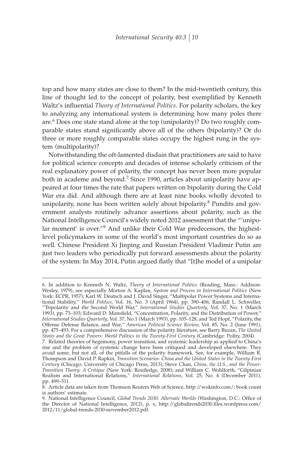top and how many states are close to them? In the mid-twentieth century, this line of thought led to the concept of polarity, best exemplified by Kenneth Waltz's influential *Theory of International Politics*. For polarity scholars, the key to analyzing any international system is determining how many poles there are.<sup>6</sup> Does one state stand alone at the top (unipolarity)? Do two roughly comparable states stand significantly above all of the others (bipolarity)? Or do three or more roughly comparable states occupy the highest rung in the system (multipolarity)?

Notwithstanding the oft-lamented disdain that practitioners are said to have for political science concepts and decades of intense scholarly criticism of the real explanatory power of polarity, the concept has never been more popular both in academe and beyond.<sup>7</sup> Since 1990, articles about unipolarity have appeared at four times the rate that papers written on bipolarity during the Cold War era did. And although there are at least nine books wholly devoted to unipolarity, none has been written solely about bipolarity.<sup>8</sup> Pundits and government analysts routinely advance assertions about polarity, such as the National Intelligence Council's widely noted 2012 assessment that the "'unipolar moment' is over."<sup>9</sup> And unlike their Cold War predecessors, the highestlevel policymakers in some of the world's most important countries do so as well. Chinese President Xi Jinping and Russian President Vladimir Putin are just two leaders who periodically put forward assessments about the polarity of the system: In May 2014, Putin argued flatly that "[t]he model of a unipolar

<sup>6.</sup> In addition to Kenneth N. Waltz, *Theory of International Politics* (Reading, Mass.: Addison-Wesley, 1979), see especially Morton A. Kaplan, *System and Process in International Politics* (New York: ECPR, 1957); Karl W. Deutsch and J. David Singer, "Multipolar Power Systems and International Stability," *World Politics*, Vol. 16, No. 3 (April 1964), pp. 390–406; Randall L. Schweller, "Tripolarity and the Second World War," *International Studies Quarterly*, Vol. 37, No. 1 (March 1993), pp. 73–103; Edward D. Mansfield, "Concentration, Polarity, and the Distribution of Power," *International Studies Quarterly*, Vol. 37, No.1 (March 1993), pp. 105–128; and Ted Hopf, "Polarity, the Offense Defense Balance, and War," *American Political Science Review*, Vol. 85, No. 2 (June 1991), pp. 475–493. For a comprehensive discussion of the polarity literature, see Barry Buzan, *The United States and the Great Powers: World Politics in the Twenty-First Century* (Cambridge: Polity, 2004).

<sup>7.</sup> Related theories of hegemony, power transition, and systemic leadership as applied to China's rise and the problem of systemic change have been critiqued and developed elsewhere. They avoid some, but not all, of the pitfalls of the polarity framework. See, for example, William R. Thompson and David P. Rapkin, *Transition Scenarios: China and the United States in the Twenty-First Century* (Chicago: University of Chicago Press, 2013); Steve Chan, *China, the U.S., and the Power-Transition Theory: A Critique* (New York: Routledge, 2008); and William C. Wohlforth, "Gilpinian Realism and International Relations," *International Relations*, Vol. 25, No. 4 (December 2011), pp. 499–511.

<sup>8.</sup> Article data are taken from Thomson Reuters Web of Science, http://wokinfo.com/; book count is authors' estimate.

<sup>9.</sup> National Intelligence Council, *Global Trends 2030: Alternate Worlds* (Washington, D.C.: Office of the Director of National Intelligence, 2012), p. x, http://globaltrends2030.files.wordpress.com/ 2012/11/global-trends-2030-november2012.pdf.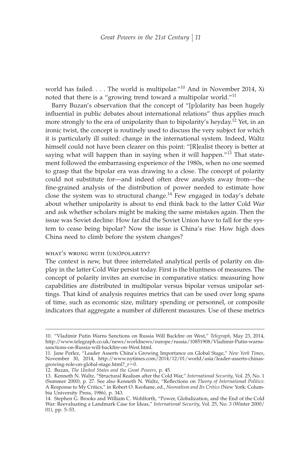world has failed. . . . The world is multipolar."<sup>10</sup> And in November 2014, Xi noted that there is a "growing trend toward a multipolar world."<sup>11</sup>

Barry Buzan's observation that the concept of "[p]olarity has been hugely influential in public debates about international relations" thus applies much more strongly to the era of unipolarity than to bipolarity's heyday.<sup>12</sup> Yet, in an ironic twist, the concept is routinely used to discuss the very subject for which it is particularly ill suited: change in the international system. Indeed, Waltz himself could not have been clearer on this point: "[R]ealist theory is better at saying what will happen than in saying when it will happen."<sup>13</sup> That statement followed the embarrassing experience of the 1980s, when no one seemed to grasp that the bipolar era was drawing to a close. The concept of polarity could not substitute for—and indeed often drew analysts away from—the fine-grained analysis of the distribution of power needed to estimate how close the system was to structural change.<sup>14</sup> Few engaged in today's debate about whether unipolarity is about to end think back to the latter Cold War and ask whether scholars might be making the same mistakes again. Then the issue was Soviet decline: How far did the Soviet Union have to fall for the system to cease being bipolar? Now the issue is China's rise: How high does China need to climb before the system changes?

#### what's wrong with (uni)polarity?

The context is new, but three interrelated analytical perils of polarity on display in the latter Cold War persist today. First is the bluntness of measures. The concept of polarity invites an exercise in comparative statics: measuring how capabilities are distributed in multipolar versus bipolar versus unipolar settings. That kind of analysis requires metrics that can be used over long spans of time, such as economic size, military spending or personnel, or composite indicators that aggregate a number of different measures. Use of these metrics

<sup>10. &</sup>quot;Vladimir Putin Warns Sanctions on Russia Will Backfire on West," *Telegraph*, May 23, 2014, http://www.telegraph.co.uk/news/worldnews/europe/russia/10851908/Vladimir-Putin-warnssanctions-on-Russia-will-backfire-on-West.html.

<sup>11.</sup> Jane Perlez, "Leader Asserts China's Growing Importance on Global Stage," *New York Times*, November 30, 2014, http://www.nytimes.com/2014/12/01/world/asia/leader-asserts-chinasgrowing-role-on-global-stage.html?\_r-0.

<sup>12.</sup> Buzan, *The United States and the Great Powers*, p. 45.

<sup>13.</sup> Kenneth N. Waltz, "Structural Realism after the Cold War," *International Security*, Vol. 25, No. 1 (Summer 2000), p. 27. See also Kenneth N. Waltz, "Reflections on *Theory of International Politics*: A Response to My Critics," in Robert O. Keohane, ed., *Neorealism and Its Critics* (New York: Columbia University Press, 1986), p. 343.

<sup>14.</sup> Stephen G. Brooks and William C. Wohlforth, "Power, Globalization, and the End of the Cold War: Reevaluating a Landmark Case for Ideas," *International Security*, Vol. 25, No. 3 (Winter 2000/ 01), pp. 5–53.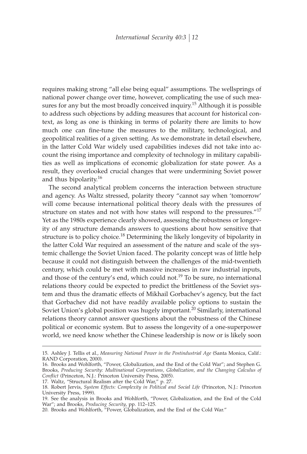requires making strong "all else being equal" assumptions. The wellsprings of national power change over time, however, complicating the use of such measures for any but the most broadly conceived inquiry.<sup>15</sup> Although it is possible to address such objections by adding measures that account for historical context, as long as one is thinking in terms of polarity there are limits to how much one can fine-tune the measures to the military, technological, and geopolitical realities of a given setting. As we demonstrate in detail elsewhere, in the latter Cold War widely used capabilities indexes did not take into account the rising importance and complexity of technology in military capabilities as well as implications of economic globalization for state power. As a result, they overlooked crucial changes that were undermining Soviet power and thus bipolarity.<sup>16</sup>

The second analytical problem concerns the interaction between structure and agency. As Waltz stressed, polarity theory "cannot say when 'tomorrow' will come because international political theory deals with the pressures of structure on states and not with how states will respond to the pressures."<sup>17</sup> Yet as the 1980s experience clearly showed, assessing the robustness or longevity of any structure demands answers to questions about how sensitive that structure is to policy choice.<sup>18</sup> Determining the likely longevity of bipolarity in the latter Cold War required an assessment of the nature and scale of the systemic challenge the Soviet Union faced. The polarity concept was of little help because it could not distinguish between the challenges of the mid-twentieth century, which could be met with massive increases in raw industrial inputs, and those of the century's end, which could not.<sup>19</sup> To be sure, no international relations theory could be expected to predict the brittleness of the Soviet system and thus the dramatic effects of Mikhail Gorbachev's agency, but the fact that Gorbachev did not have readily available policy options to sustain the Soviet Union's global position was hugely important.<sup>20</sup> Similarly, international relations theory cannot answer questions about the robustness of the Chinese political or economic system. But to assess the longevity of a one-superpower world, we need know whether the Chinese leadership is now or is likely soon

<sup>15.</sup> Ashley J. Tellis et al., *Measuring National Power in the Postindustrial Age* (Santa Monica, Calif.: RAND Corporation, 2000).

<sup>16.</sup> Brooks and Wohlforth, "Power, Globalization, and the End of the Cold War"; and Stephen G. Brooks, *Producing Security: Multinational Corporations, Globalization, and the Changing Calculus of Conflict* (Princeton, N.J.: Princeton University Press, 2005).

<sup>17.</sup> Waltz, "Structural Realism after the Cold War," p. 27.

<sup>18.</sup> Robert Jervis, *System Effects: Complexity in Political and Social Life* (Princeton, N.J.: Princeton University Press, 1999).

<sup>19.</sup> See the analysis in Brooks and Wohlforth, "Power, Globalization, and the End of the Cold War"; and Brooks, *Producing Security*, pp. 112–125.

<sup>20.</sup> Brooks and Wohlforth, "Power, Globalization, and the End of the Cold War."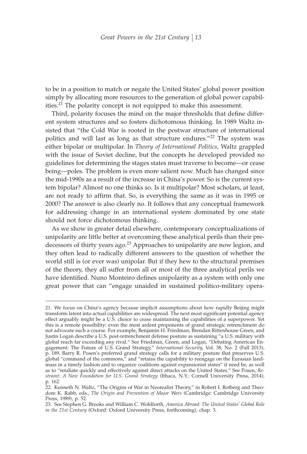to be in a position to match or negate the United States' global power position simply by allocating more resources to the generation of global power capabilities.<sup>21</sup> The polarity concept is not equipped to make this assessment.

Third, polarity focuses the mind on the major thresholds that define different system structures and so fosters dichotomous thinking. In 1989 Waltz insisted that "the Cold War is rooted in the postwar structure of international politics and will last as long as that structure endures." $22$  The system was either bipolar or multipolar. In *Theory of International Politics*, Waltz grappled with the issue of Soviet decline, but the concepts he developed provided no guidelines for determining the stages states must traverse to become—or cease being—poles. The problem is even more salient now. Much has changed since the mid-1990s as a result of the increase in China's power. So is the current system bipolar? Almost no one thinks so. Is it multipolar? Most scholars, at least, are not ready to affirm that. So, is everything the same as it was in 1995 or 2000? The answer is also clearly no. It follows that any conceptual framework for addressing change in an international system dominated by one state should not force dichotomous thinking.

As we show in greater detail elsewhere, contemporary conceptualizations of unipolarity are little better at overcoming these analytical perils than their predecessors of thirty years ago. $^{23}$  Approaches to unipolarity are now legion, and they often lead to radically different answers to the question of whether the world still is (or ever was) unipolar. But if they hew to the structural premises of the theory, they all suffer from all or most of the three analytical perils we have identified. Nuno Monteiro defines unipolarity as a system with only one great power that can "engage unaided in sustained politico-military opera-

<sup>21.</sup> We focus on China's agency because implicit assumptions about how rapidly Beijing might transform latent into actual capabilities are widespread. The next most significant potential agency effect arguably might be a U.S. choice to cease maintaining the capabilities of a superpower. Yet this is a remote possibility: even the most ardent proponents of grand strategic retrenchment do not advocate such a course. For example, Benjamin H. Friedman, Brendan Rittenhouse Green, and Justin Logan describe a U.S. post-retrenchment defense posture as sustaining "a U.S. military with global reach far exceeding any rival." See Friedman, Green, and Logan, "Debating American Engagement: The Future of U.S. Grand Strategy," *International Security*, Vol. 38, No. 2 (Fall 2013), p. 189. Barry R. Posen's preferred grand strategy calls for a military posture that preserves U.S. global "command of the commons," and "retains the capability to reengage on the Eurasian landmass in a timely fashion and to organize coalitions against expansionist states" if need be, as well as to "retaliate quickly and effectively against direct attacks on the United States." See Posen, *Restraint: A New Foundation for U.S. Grand Strategy* (Ithaca, N.Y.: Cornell University Press, 2014), p. 162.

<sup>22.</sup> Kenneth N. Waltz, "The Origins of War in Neorealist Theory," in Robert I. Rotberg and Theodore K. Rabb, eds., *The Origin and Prevention of Major Wars* (Cambridge: Cambridge University Press, 1989), p. 52.

<sup>23.</sup> See Stephen G. Brooks and William C. Wohlforth, *America Abroad: The United States' Global Role in the 21st Century* (Oxford: Oxford University Press, forthcoming), chap. 3.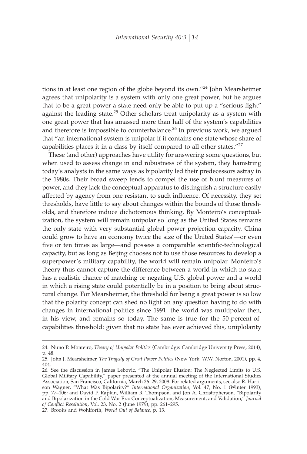tions in at least one region of the globe beyond its own."<sup>24</sup> John Mearsheimer agrees that unipolarity is a system with only one great power, but he argues that to be a great power a state need only be able to put up a "serious fight" against the leading state. $25$  Other scholars treat unipolarity as a system with one great power that has amassed more than half of the system's capabilities and therefore is impossible to counterbalance.<sup>26</sup> In previous work, we argued that "an international system is unipolar if it contains one state whose share of capabilities places it in a class by itself compared to all other states."<sup>27</sup>

These (and other) approaches have utility for answering some questions, but when used to assess change in and robustness of the system, they hamstring today's analysts in the same ways as bipolarity led their predecessors astray in the 1980s. Their broad sweep tends to compel the use of blunt measures of power, and they lack the conceptual apparatus to distinguish a structure easily affected by agency from one resistant to such influence. Of necessity, they set thresholds, have little to say about changes within the bounds of those thresholds, and therefore induce dichotomous thinking. By Monteiro's conceptualization, the system will remain unipolar so long as the United States remains the only state with very substantial global power projection capacity. China could grow to have an economy twice the size of the United States'—or even five or ten times as large—and possess a comparable scientific-technological capacity, but as long as Beijing chooses not to use those resources to develop a superpower's military capability, the world will remain unipolar. Monteiro's theory thus cannot capture the difference between a world in which no state has a realistic chance of matching or negating U.S. global power and a world in which a rising state could potentially be in a position to bring about structural change. For Mearsheimer, the threshold for being a great power is so low that the polarity concept can shed no light on any question having to do with changes in international politics since 1991: the world was multipolar then, in his view, and remains so today. The same is true for the 50-percent-ofcapabilities threshold: given that no state has ever achieved this, uniplolarity

<sup>24.</sup> Nuno P. Monteiro, *Theory of Unipolar Politics* (Cambridge: Cambridge University Press, 2014), p. 48.

<sup>25.</sup> John J. Mearsheimer, *The Tragedy of Great Power Politics* (New York: W.W. Norton, 2001), pp. 4, 404.

<sup>26.</sup> See the discussion in James Lebovic, "The Unipolar Elusion: The Neglected Limits to U.S. Global Military Capability," paper presented at the annual meeting of the International Studies Association, San Francisco, California, March 26–29, 2008. For related arguments, see also R. Harrison Wagner, "What Was Bipolarity?" *International Organization*, Vol. 47, No. 1 (Winter 1993), pp. 77–106; and David P. Rapkin, William R. Thompson, and Jon A. Christopherson, "Bipolarity and Bipolarization in the Cold War Era: Conceptualization, Measurement, and Validation," *Journal of Conºict Resolution*, Vol. 23, No. 2 (June 1979), pp. 261–295.

<sup>27.</sup> Brooks and Wohlforth, *World Out of Balance*, p. 13.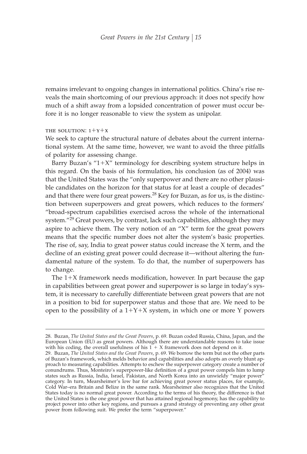remains irrelevant to ongoing changes in international politics. China's rise reveals the main shortcoming of our previous approach: it does not specify how much of a shift away from a lopsided concentration of power must occur before it is no longer reasonable to view the system as unipolar.

#### THE SOLUTION:  $1 + Y + X$

We seek to capture the structural nature of debates about the current international system. At the same time, however, we want to avoid the three pitfalls of polarity for assessing change.

Barry Buzan's " $1 + X$ " terminology for describing system structure helps in this regard. On the basis of his formulation, his conclusion (as of 2004) was that the United States was the "only superpower and there are no other plausible candidates on the horizon for that status for at least a couple of decades" and that there were four great powers.<sup>28</sup> Key for Buzan, as for us, is the distinction between superpowers and great powers, which reduces to the formers' "broad-spectrum capabilities exercised across the whole of the international system." $^{29}$  Great powers, by contrast, lack such capabilities, although they may aspire to achieve them. The very notion of an "X" term for the great powers means that the specific number does not alter the system's basic properties. The rise of, say, India to great power status could increase the X term, and the decline of an existing great power could decrease it—without altering the fundamental nature of the system. To do that, the number of superpowers has to change.

The  $1+X$  framework needs modification, however. In part because the gap in capabilities between great power and superpower is so large in today's system, it is necessary to carefully differentiate between great powers that are not in a position to bid for superpower status and those that are. We need to be open to the possibility of a  $1+Y+X$  system, in which one or more Y powers

<sup>28.</sup> Buzan, *The United States and the Great Powers*, p. 69. Buzan coded Russia, China, Japan, and the European Union (EU) as great powers. Although there are understandable reasons to take issue with his coding, the overall usefulness of his  $1 + X$  framework does not depend on it.

<sup>29.</sup> Buzan, *The United States and the Great Powers*, p. 69. We borrow the term but not the other parts of Buzan's framework, which melds behavior and capabilities and also adopts an overly blunt approach to measuring capabilities. Attempts to eschew the superpower category create a number of conundrums. Thus, Monteiro's superpower-like definition of a great power compels him to lump states such as Russia, India, Israel, Pakistan, and North Korea into an unwieldy "major power" category. In turn, Mearsheimer's low bar for achieving great power status places, for example, Cold War–era Britain and Belize in the same rank. Mearsheimer also recognizes that the United States today is no normal great power. According to the terms of his theory, the difference is that the United States is the one great power that has attained regional hegemony, has the capability to project power into other key regions, and pursues a grand strategy of preventing any other great power from following suit. We prefer the term "superpower."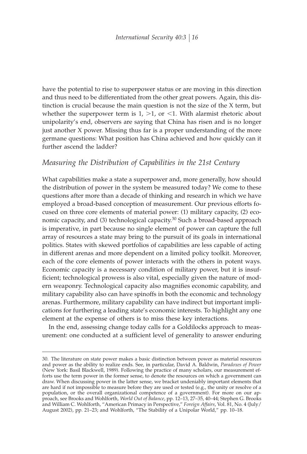have the potential to rise to superpower status or are moving in this direction and thus need to be differentiated from the other great powers. Again, this distinction is crucial because the main question is not the size of the X term, but whether the superpower term is  $1, >1$ , or <1. With alarmist rhetoric about unipolarity's end, observers are saying that China has risen and is no longer just another X power. Missing thus far is a proper understanding of the more germane questions: What position has China achieved and how quickly can it further ascend the ladder?

## *Measuring the Distribution of Capabilities in the 21st Century*

What capabilities make a state a superpower and, more generally, how should the distribution of power in the system be measured today? We come to these questions after more than a decade of thinking and research in which we have employed a broad-based conception of measurement. Our previous efforts focused on three core elements of material power: (1) military capacity, (2) economic capacity, and (3) technological capacity.<sup>30</sup> Such a broad-based approach is imperative, in part because no single element of power can capture the full array of resources a state may bring to the pursuit of its goals in international politics. States with skewed portfolios of capabilities are less capable of acting in different arenas and more dependent on a limited policy toolkit. Moreover, each of the core elements of power interacts with the others in potent ways. Economic capacity is a necessary condition of military power, but it is insufficient; technological prowess is also vital, especially given the nature of modern weaponry. Technological capacity also magnifies economic capability, and military capability also can have spinoffs in both the economic and technology arenas. Furthermore, military capability can have indirect but important implications for furthering a leading state's economic interests. To highlight any one element at the expense of others is to miss these key interactions.

In the end, assessing change today calls for a Goldilocks approach to measurement: one conducted at a sufficient level of generality to answer enduring

<sup>30.</sup> The literature on state power makes a basic distinction between power as material resources and power as the ability to realize ends. See, in particular, David A. Baldwin, *Paradoxes of Power* (New York: Basil Blackwell, 1989). Following the practice of many scholars, our measurement efforts use the term power in the former sense, to denote the resources on which a government can draw. When discussing power in the latter sense, we bracket undeniably important elements that are hard if not impossible to measure before they are used or tested (e.g., the unity or resolve of a population, or the overall organizational competence of a government). For more on our approach, see Brooks and Wohlforth, *World Out of Balance*, pp. 12–13, 27–35, 40–44; Stephen G. Brooks and William C. Wohlforth, "American Primacy in Perspective," *Foreign Affairs*, Vol. 81, No. 4 (July/ August 2002), pp. 21–23; and Wohlforth, "The Stability of a Unipolar World," pp. 10–18.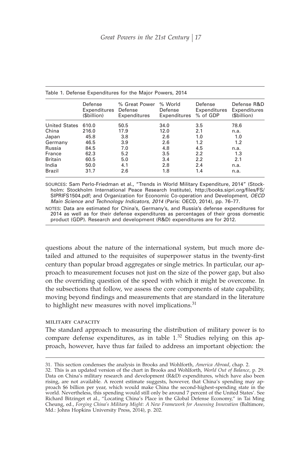|                      | Defense<br>Expenditures<br>(\$billion) | % Great Power<br>Defense<br>Expenditures | % World<br>Defense<br>Expenditures | Defense<br>Expenditures<br>% of GDP | Defense R&D<br>Expenditures<br>(\$billion) |
|----------------------|----------------------------------------|------------------------------------------|------------------------------------|-------------------------------------|--------------------------------------------|
| <b>United States</b> | 610.0                                  | 50.5                                     | 34.0                               | 3.5                                 | 78.6                                       |
| China                | 216.0                                  | 17.9                                     | 12.0                               | 2.1                                 | n.a.                                       |
| Japan                | 45.8                                   | 3.8                                      | 2.6                                | 1.0                                 | 1.0                                        |
| Germany              | 46.5                                   | 3.9                                      | 2.6                                | 1.2                                 | 1.2                                        |
| Russia               | 84.5                                   | 7.0                                      | 4.8                                | 4.5                                 | n.a.                                       |
| France               | 62.3                                   | 5.2                                      | 3.5                                | 2.2                                 | 1.3                                        |
| <b>Britain</b>       | 60.5                                   | 5.0                                      | 3.4                                | 2.2                                 | 2.1                                        |
| India                | 50.0                                   | 4.1                                      | 2.8                                | 2.4                                 | n.a.                                       |
| Brazil               | 31.7                                   | 2.6                                      | 1.8                                | 1.4                                 | n.a.                                       |

Table 1. Defense Expenditures for the Major Powers, 2014

SOURCES: Sam Perlo-Friedman et al., "Trends in World Military Expenditure, 2014" (Stockholm: Stockholm International Peace Research Institute), http://books.sipri.org/files/FS/ SIPRIFS1504.pdf; and Organization for Economic Co-operation and Development, *OECD Main Science and Technology Indicators, 2014* (Paris: OECD, 2014), pp. 76–77.

NOTES: Data are estimated for China's, Germany's, and Russia's defense expenditures for 2014 as well as for their defense expenditures as percentages of their gross domestic product (GDP). Research and development (R&D) expenditures are for 2012.

questions about the nature of the international system, but much more detailed and attuned to the requisites of superpower status in the twenty-first century than popular broad aggregates or single metrics. In particular, our approach to measurement focuses not just on the size of the power gap, but also on the overriding question of the speed with which it might be overcome. In the subsections that follow, we assess the core components of state capability, moving beyond findings and measurements that are standard in the literature to highlight new measures with novel implications.<sup>31</sup>

#### military capacity

The standard approach to measuring the distribution of military power is to compare defense expenditures, as in table  $1<sup>32</sup>$  Studies relying on this approach, however, have thus far failed to address an important objection: the

<sup>31.</sup> This section condenses the analysis in Brooks and Wohlforth, *America Abroad*, chap. 2.

<sup>32.</sup> This is an updated version of the chart in Brooks and Wohlforth, *World Out of Balance*, p. 29. Data on China's military research and development (R&D) expenditures, which have also been rising, are not available. A recent estimate suggests, however, that China's spending may approach \$6 billion per year, which would make China the second-highest-spending state in the world. Nevertheless, this spending would still only be around 7 percent of the United States'. See Richard Bitzinget et al., "Locating China's Place in the Global Defense Economy," in Tai Ming Cheung, ed., *Forging China's Military Might: A New Framework for Assessing Innovation* (Baltimore, Md.: Johns Hopkins University Press, 2014), p. 202.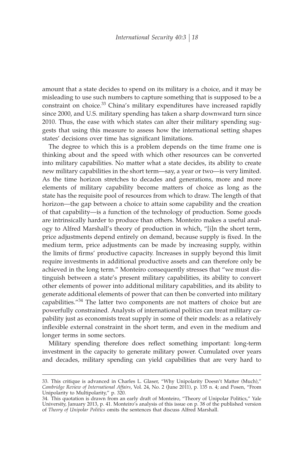amount that a state decides to spend on its military is a choice, and it may be misleading to use such numbers to capture something that is supposed to be a constraint on choice.<sup>33</sup> China's military expenditures have increased rapidly since 2000, and U.S. military spending has taken a sharp downward turn since 2010. Thus, the ease with which states can alter their military spending suggests that using this measure to assess how the international setting shapes states' decisions over time has significant limitations.

The degree to which this is a problem depends on the time frame one is thinking about and the speed with which other resources can be converted into military capabilities. No matter what a state decides, its ability to create new military capabilities in the short term—say, a year or two—is very limited. As the time horizon stretches to decades and generations, more and more elements of military capability become matters of choice as long as the state has the requisite pool of resources from which to draw. The length of that horizon—the gap between a choice to attain some capability and the creation of that capability—is a function of the technology of production. Some goods are intrinsically harder to produce than others. Monteiro makes a useful analogy to Alfred Marshall's theory of production in which, "[i]n the short term, price adjustments depend entirely on demand, because supply is fixed. In the medium term, price adjustments can be made by increasing supply, within the limits of firms' productive capacity. Increases in supply beyond this limit require investments in additional productive assets and can therefore only be achieved in the long term." Monteiro consequently stresses that "we must distinguish between a state's present military capabilities, its ability to convert other elements of power into additional military capabilities, and its ability to generate additional elements of power that can then be converted into military capabilities."<sup>34</sup> The latter two components are not matters of choice but are powerfully constrained. Analysts of international politics can treat military capability just as economists treat supply in some of their models: as a relatively inflexible external constraint in the short term, and even in the medium and longer terms in some sectors.

Military spending therefore does reflect something important: long-term investment in the capacity to generate military power. Cumulated over years and decades, military spending can yield capabilities that are very hard to

<sup>33.</sup> This critique is advanced in Charles L. Glaser, "Why Unipolarity Doesn't Matter (Much)," *Cambridge Review of International Affairs*, Vol. 24, No. 2 (June 2011), p. 135 n. 4; and Posen, "From Unipolarity to Multipolarity," p. 320.

<sup>34.</sup> This quotation is drawn from an early draft of Monteiro, "Theory of Unipolar Politics," Yale University, January 2013, p. 41. Monteiro's analysis of this issue on p. 38 of the published version of *Theory of Unipolar Politics* omits the sentences that discuss Alfred Marshall.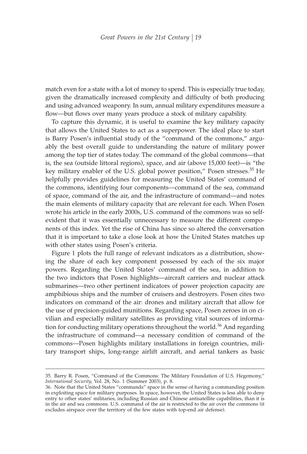match even for a state with a lot of money to spend. This is especially true today, given the dramatically increased complexity and difficulty of both producing and using advanced weaponry. In sum, annual military expenditures measure a flow—but flows over many years produce a stock of military capability.

To capture this dynamic, it is useful to examine the key military capacity that allows the United States to act as a superpower. The ideal place to start is Barry Posen's influential study of the "command of the commons," arguably the best overall guide to understanding the nature of military power among the top tier of states today. The command of the global commons—that is, the sea (outside littoral regions), space, and air (above 15,000 feet)—is "the key military enabler of the U.S. global power position," Posen stresses.<sup>35</sup> He helpfully provides guidelines for measuring the United States' command of the commons, identifying four components—command of the sea, command of space, command of the air, and the infrastructure of command—and notes the main elements of military capacity that are relevant for each. When Posen wrote his article in the early 2000s, U.S. command of the commons was so selfevident that it was essentially unnecessary to measure the different components of this index. Yet the rise of China has since so altered the conversation that it is important to take a close look at how the United States matches up with other states using Posen's criteria.

Figure 1 plots the full range of relevant indicators as a distribution, showing the share of each key component possessed by each of the six major powers. Regarding the United States' command of the sea, in addition to the two indictors that Posen highlights—aircraft carriers and nuclear attack submarines—two other pertinent indicators of power projection capacity are amphibious ships and the number of cruisers and destroyers. Posen cites two indicators on command of the air: drones and military aircraft that allow for the use of precision-guided munitions. Regarding space, Posen zeroes in on civilian and especially military satellites as providing vital sources of information for conducting military operations throughout the world.<sup>36</sup> And regarding the infrastructure of command—a necessary condition of command of the commons—Posen highlights military installations in foreign countries, military transport ships, long-range airlift aircraft, and aerial tankers as basic

<sup>35.</sup> Barry R. Posen, "Command of the Commons: The Military Foundation of U.S. Hegemony," *International Security*, Vol. 28, No. 1 (Summer 2003), p. 8.

<sup>36.</sup> Note that the United States "commands" space in the sense of having a commanding position in exploiting space for military purposes. In space, however, the United States is less able to deny entry to other states' militaries, including Russian and Chinese antisatellite capabilities, than it is in the air and sea commons. U.S. command of the air is restricted to the air over the commons (it excludes airspace over the territory of the few states with top-end air defense).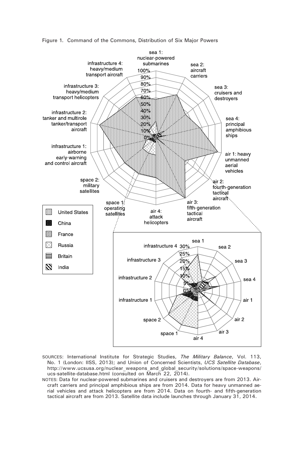

Figure 1. Command of the Commons, Distribution of Six Major Powers

SOURCES: International Institute for Strategic Studies, The Military Balance, Vol. 113, No. 1 (London: IISS, 2013); and Union of Concerned Scientists, UCS Satellite Database, http://www.ucsusa.org/nuclear\_weapons\_and\_global\_security/solutions/space-weapons/ ucs-satellite-database.html (consulted on March 22, 2014).

space 1

air 4

NOTES: Data for nuclear-powered submarines and cruisers and destroyers are from 2013. Aircraft carriers and principal amphibious ships are from 2014. Data for heavy unmanned aerial vehicles and attack helicopters are from 2014. Data on fourth- and fifth-generation tactical aircraft are from 2013. Satellite data include launches through January 31, 2014.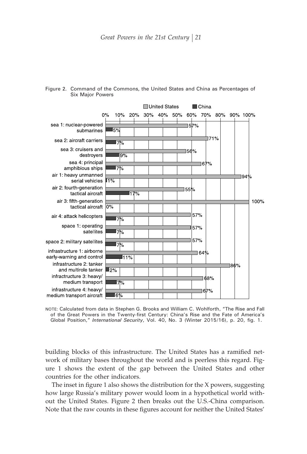

Figure 2. Command of the Commons, the United States and China as Percentages of Six Major Powers

NOTE: Calculated from data in Stephen G. Brooks and William C. Wohlforth, "The Rise and Fall of the Great Powers in the Twenty-first Century: China's Rise and the Fate of America's Global Position," International Security, Vol. 40, No. 3 (Winter 2015/16), p. 20, fig. 1.

building blocks of this infrastructure. The United States has a ramified network of military bases throughout the world and is peerless this regard. Figure 1 shows the extent of the gap between the United States and other countries for the other indicators.

The inset in figure 1 also shows the distribution for the  $X$  powers, suggesting how large Russia's military power would loom in a hypothetical world without the United States. Figure 2 then breaks out the U.S.-China comparison. Note that the raw counts in these figures account for neither the United States'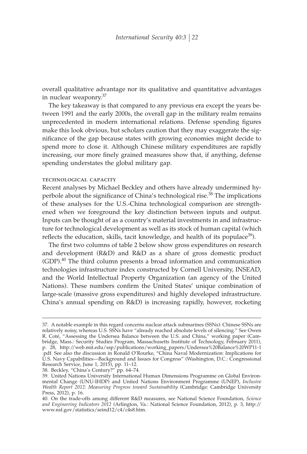overall qualitative advantage nor its qualitative and quantitative advantages in nuclear weaponry.<sup>37</sup>

The key takeaway is that compared to any previous era except the years between 1991 and the early 2000s, the overall gap in the military realm remains unprecedented in modern international relations. Defense spending figures make this look obvious, but scholars caution that they may exaggerate the significance of the gap because states with growing economies might decide to spend more to close it. Although Chinese military expenditures are rapidly increasing, our more finely grained measures show that, if anything, defense spending understates the global military gap.

#### technological capacity

Recent analyses by Michael Beckley and others have already undermined hyperbole about the significance of China's technological rise.<sup>38</sup> The implications of these analyses for the U.S.-China technological comparison are strengthened when we foreground the key distinction between inputs and output. Inputs can be thought of as a country's material investments in and infrastructure for technological development as well as its stock of human capital (which reflects the education, skills, tacit knowledge, and health of its populace<sup>39</sup>).

The first two columns of table 2 below show gross expenditures on research and development (R&D) and R&D as a share of gross domestic product  $(GDP).<sup>40</sup>$  The third column presents a broad information and communication technologies infrastructure index constructed by Cornell University, INSEAD, and the World Intellectual Property Organization (an agency of the United Nations). These numbers confirm the United States' unique combination of large-scale (massive gross expenditures) and highly developed infrastructure. China's annual spending on R&D) is increasing rapidly, however, rocketing

38. Beckley, "China's Century?" pp. 64–74.

<sup>37.</sup> A notable example in this regard concerns nuclear attack submarines (SSNs): Chinese SSNs are relatively noisy, whereas U.S. SSNs have "already reached absolute levels of silencing." See Owen R. Coté, "Assessing the Undersea Balance between the U.S. and China," working paper (Cambridge, Mass.: Security Studies Program, Massachusetts Institute of Technology, February 2011), p. 28, http://web.mit.edu/ssp/publications/working\_papers/Undersea%20Balance%20WP11-1 .pdf. See also the discussion in Ronald O'Rourke, "China Naval Modernization: Implications for U.S. Navy Capabilities—Background and Issues for Congress" (Washington, D.C.: Congressional Research Service, June 1, 2015), pp. 11–12.

<sup>39.</sup> United Nations University International Human Dimensions Programme on Global Environmental Change (UNU-IHDP) and United Nations Environment Programme (UNEP), *Inclusive Wealth Report 2012: Measuring Progress toward Sustainability* (Cambridge: Cambridge University Press, 2012), p. 16.

<sup>40.</sup> On the trade-offs among different R&D measures, see National Science Foundation, *Science and Engineering Indicators 2012* (Arlington, Va.: National Science Foundation, 2012), p. 3, http:// www.nsf.gov/statistics/seind12/c4/c4s8.htm.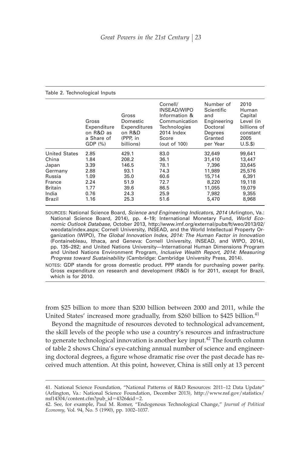|                      | Gross<br>Expenditure<br>on R&D as<br>a Share of<br>GDP(%) | Gross<br>Domestic<br>Expenditures<br>on R&D<br>(PPP, in<br>billions) | Cornell/<br>INSEAD/WIPO<br>Information &<br>Communication<br>Technologies<br>2014 Index<br>Score<br>(out of 100) | Number of<br>Scientific<br>and<br>Engineering<br>Doctoral<br>Degrees<br>Granted<br>per Year | 2010<br>Human<br>Capital<br>Level (in<br>billions of<br>constant<br>2005<br>U.S.S |
|----------------------|-----------------------------------------------------------|----------------------------------------------------------------------|------------------------------------------------------------------------------------------------------------------|---------------------------------------------------------------------------------------------|-----------------------------------------------------------------------------------|
| <b>United States</b> | 2.85                                                      | 429.1                                                                | 83.0                                                                                                             | 32,649                                                                                      | 99,641                                                                            |
| China                | 1.84                                                      | 208.2                                                                | 36.1                                                                                                             | 31,410                                                                                      | 13,447                                                                            |
| Japan                | 3.39                                                      | 146.5                                                                | 78.1                                                                                                             | 7,396                                                                                       | 33,645                                                                            |
| Germany              | 2.88                                                      | 93.1                                                                 | 74.3                                                                                                             | 11,989                                                                                      | 25,576                                                                            |
| Russia               | 1.09                                                      | 35.0                                                                 | 60.6                                                                                                             | 15,714                                                                                      | 6,391                                                                             |
| France               | 2.24                                                      | 51.9                                                                 | 72.7                                                                                                             | 8,220                                                                                       | 19,118                                                                            |
| <b>Britain</b>       | 1.77                                                      | 39.6                                                                 | 86.5                                                                                                             | 11,055                                                                                      | 19,079                                                                            |
| India                | 0.76                                                      | 24.3                                                                 | 25.9                                                                                                             | 7,982                                                                                       | 9,355                                                                             |
| <b>Brazil</b>        | 1.16                                                      | 25.3                                                                 | 51.6                                                                                                             | 5,470                                                                                       | 8,968                                                                             |

#### Table 2. Technological Inputs

SOURCES: National Science Board, *Science and Engineering Indicators, 2014* (Arlington, Va.: National Science Board, 2014), pp. 4–19; International Monetary Fund, *World Economic Outlook Database*, October 2013, http://www.imf.org/external/pubs/ft/weo/2013/02/ weodata/index.aspx; Cornell University, INSEAD, and the World Intellectual Property Organization (WIPO), *The Global Innovation Index, 2014: The Human Factor in Innovation* (Fontainebleau, Ithaca, and Geneva: Cornell University, INSEAD, and WIPO, 2014), pp. 135–282; and United Nations University—International Human Dimensions Program and United Nations Environment Program, *Inclusive Wealth Report, 2014: Measuring Progress toward Sustainability* (Cambridge: Cambridge University Press, 2014).

NOTES: GDP stands for gross domestic product. PPP stands for purchasing power parity. Gross expenditure on research and development (R&D) is for 2011, except for Brazil, which is for 2010.

from \$25 billion to more than \$200 billion between 2000 and 2011, while the United States' increased more gradually, from \$260 billion to \$425 billion.<sup>41</sup>

Beyond the magnitude of resources devoted to technological advancement, the skill levels of the people who use a country's resources and infrastructure to generate technological innovation is another key input.<sup>42</sup> The fourth column of table 2 shows China's eye-catching annual number of science and engineering doctoral degrees, a figure whose dramatic rise over the past decade has received much attention. At this point, however, China is still only at 13 percent

<sup>41.</sup> National Science Foundation, "National Patterns of R&D Resources: 2011–12 Data Update" (Arlington, Va.: National Science Foundation, December 2013), http://www.nsf.gov/statistics/ nsf14304/content.cfm?pub\_id-4326&id-2.

<sup>42.</sup> See, for example, Paul M. Romer, "Endogenous Technological Change," *Journal of Political Economy*, Vol. 94, No. 5 (1990), pp. 1002–1037.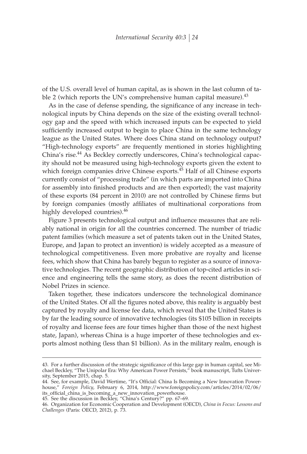of the U.S. overall level of human capital, as is shown in the last column of table 2 (which reports the UN's comprehensive human capital measure). $43$ 

As in the case of defense spending, the significance of any increase in technological inputs by China depends on the size of the existing overall technology gap and the speed with which increased inputs can be expected to yield sufficiently increased output to begin to place China in the same technology league as the United States. Where does China stand on technology output? "High-technology exports" are frequently mentioned in stories highlighting China's rise.44 As Beckley correctly underscores, China's technological capacity should not be measured using high-technology exports given the extent to which foreign companies drive Chinese exports.<sup>45</sup> Half of all Chinese exports currently consist of "processing trade" (in which parts are imported into China for assembly into finished products and are then exported); the vast majority of these exports  $(84$  percent in  $2010$ ) are not controlled by Chinese firms but by foreign companies (mostly affiliates of multinational corporations from highly developed countries).<sup>46</sup>

Figure 3 presents technological output and influence measures that are reliably national in origin for all the countries concerned. The number of triadic patent families (which measure a set of patents taken out in the United States, Europe, and Japan to protect an invention) is widely accepted as a measure of technological competitiveness. Even more probative are royalty and license fees, which show that China has barely begun to register as a source of innovative technologies. The recent geographic distribution of top-cited articles in science and engineering tells the same story, as does the recent distribution of Nobel Prizes in science.

Taken together, these indicators underscore the technological dominance of the United States. Of all the figures noted above, this reality is arguably best captured by royalty and license fee data, which reveal that the United States is by far the leading source of innovative technologies (its \$105 billion in receipts of royalty and license fees are four times higher than those of the next highest state, Japan), whereas China is a huge importer of these technologies and exports almost nothing (less than \$1 billion). As in the military realm, enough is

<sup>43.</sup> For a further discussion of the strategic significance of this large gap in human capital, see Michael Beckley, "The Unipolar Era: Why American Power Persists," book manuscript, Tufts University, September 2015, chap. 5.

<sup>44.</sup> See, for example, David Wertime, "It's Official: China Is Becoming a New Innovation Powerhouse," *Foreign Policy*, February 6, 2014, http://www.foreignpolicy.com/articles/2014/02/06/ its\_ofªcial\_china\_is\_becoming\_a\_new\_innovation\_powerhouse.

<sup>45.</sup> See the discussion in Beckley, "China's Century?" pp. 67–69.

<sup>46.</sup> Organization for Economic Cooperation and Development (OECD), *China in Focus: Lessons and Challenges* (Paris: OECD, 2012), p. 73.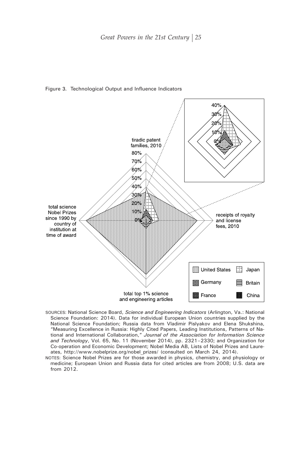#### Figure 3. Technological Output and Influence Indicators



- SOURCES: National Science Board, Science and Engineering Indicators (Arlington, Va.: National Science Foundation: 2014). Data for individual European Union countries supplied by the National Science Foundation; Russia data from Vladimir Pislyakov and Elena Shukshina, "Measuring Excellence in Russia: Highly Cited Papers, Leading Institutions, Patterns of National and International Collaboration," Journal of the Association for Information Science and Technology, Vol. 65, No. 11 (November 2014), pp. 2321–2330; and Organization for Co-operation and Economic Development; Nobel Media AB, Lists of Nobel Prizes and Laureates, http://www.nobelprize.org/nobel\_prizes/ (consulted on March 24, 2014).
- NOTES: Science Nobel Prizes are for those awarded in physics, chemistry, and physiology or medicine; European Union and Russia data for cited articles are from 2008; U.S. data are from 2012.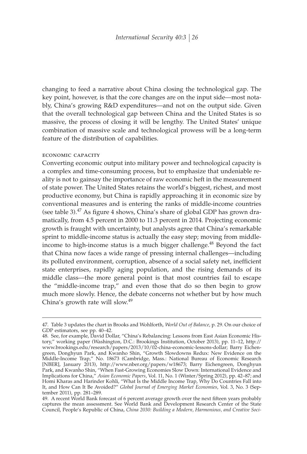changing to feed a narrative about China closing the technological gap. The key point, however, is that the core changes are on the input side—most notably, China's growing R&D expenditures—and not on the output side. Given that the overall technological gap between China and the United States is so massive, the process of closing it will be lengthy. The United States' unique combination of massive scale and technological prowess will be a long-term feature of the distribution of capabilities.

#### economic capacity

Converting economic output into military power and technological capacity is a complex and time-consuming process, but to emphasize that undeniable reality is not to gainsay the importance of raw economic heft in the measurement of state power. The United States retains the world's biggest, richest, and most productive economy, but China is rapidly approaching it in economic size by conventional measures and is entering the ranks of middle-income countries (see table 3). $47$  As figure 4 shows, China's share of global GDP has grown dramatically, from 4.5 percent in 2000 to 11.3 percent in 2014. Projecting economic growth is fraught with uncertainty, but analysts agree that China's remarkable sprint to middle-income status is actually the easy step; moving from middleincome to high-income status is a much bigger challenge. $48$  Beyond the fact that China now faces a wide range of pressing internal challenges—including its polluted environment, corruption, absence of a social safety net, inefficient state enterprises, rapidly aging population, and the rising demands of its middle class—the more general point is that most countries fail to escape the "middle-income trap," and even those that do so then begin to grow much more slowly. Hence, the debate concerns not whether but by how much China's growth rate will slow.<sup>49</sup>

<sup>47.</sup> Table 3 updates the chart in Brooks and Wohlforth, *World Out of Balance*, p. 29. On our choice of GDP estimators, see pp. 40–42.

<sup>48.</sup> See, for example, David Dollar, "China's Rebalancing: Lessons from East Asian Economic History," working paper (Washington, D.C.: Brookings Institution, October 2013), pp. 11–12, http:// www.brookings.edu/research/papers/2013/10/02-china-economic-lessons-dollar; Barry Eichengreen, Donghyun Park, and Kwanho Shin, "Growth Slowdowns Redux: New Evidence on the Middle-Income Trap," No. 18673 (Cambridge, Mass.: National Bureau of Economic Research [NBER], January 2013), http://www.nber.org/papers/w18673; Barry Eichengreen, Donghyun Park, and Kwanho Shin, "When Fast-Growing Economies Slow Down: International Evidence and Implications for China," *Asian Economic Papers*, Vol. 11, No. 1 (Winter/Spring 2012), pp. 42–87; and Homi Kharas and Harinder Kohli, "What Is the Middle Income Trap, Why Do Countries Fall into It, and How Can It Be Avoided?" *Global Journal of Emerging Market Economies*, Vol. 3, No. 3 (September 2011), pp. 281–289.

<sup>49.</sup> A recent World Bank forecast of 6 percent average growth over the next fifteen years probably captures the mean assessment. See World Bank and Development Research Center of the State Council, People's Republic of China, *China 2030: Building a Modern, Harmonious, and Creative Soci-*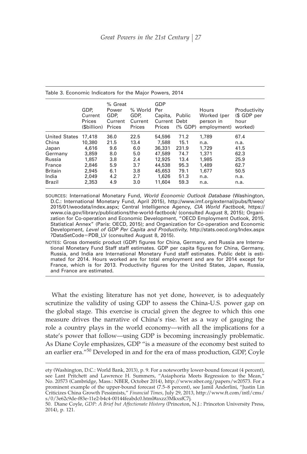|                      | GDP.<br>Current<br>Prices<br>(Sbillion) | % Great<br>Power<br>GDP.<br>Current<br>Prices | % World<br>GDP.<br>Current<br>Prices | GDP<br>Per<br>Capita,<br>Current Debt<br>Prices | Public<br>(% GDP) | Hours<br>Worked (per<br>person in<br>employment) | Productivity<br>(\$ GDP per<br>hour<br>worked) |
|----------------------|-----------------------------------------|-----------------------------------------------|--------------------------------------|-------------------------------------------------|-------------------|--------------------------------------------------|------------------------------------------------|
| <b>United States</b> | 17,418                                  | 36.0                                          | 22.5                                 | 54,596                                          | 71.2              | 1,789                                            | 67.4                                           |
| China                | 10,380                                  | 21.5                                          | 13.4                                 | 7,588                                           | 15.1              | n.a.                                             | n.a.                                           |
| Japan                | 4,616                                   | 9.6                                           | 6.0                                  | 36,331                                          | 231.9             | 1,729                                            | 41.5                                           |
| Germany              | 3,859                                   | 8.0                                           | 5.0                                  | 47,589                                          | 74.7              | 1,371                                            | 62.3                                           |
| Russia               | 1,857                                   | 3.8                                           | 2.4                                  | 12,925                                          | 13.4              | 1,985                                            | 25.9                                           |
| France               | 2,846                                   | 5.9                                           | 3.7                                  | 44,538                                          | 95.3              | 1,489                                            | 62.7                                           |
| <b>Britain</b>       | 2.945                                   | 6.1                                           | 3.8                                  | 45,653                                          | 79.1              | 1,677                                            | 50.5                                           |
| India                | 2.049                                   | 4.2                                           | 2.7                                  | 1,626                                           | 51.3              | n.a.                                             | n.a.                                           |
| <b>Brazil</b>        | 2,353                                   | 4.9                                           | 3.0                                  | 11,604                                          | 59.3              | n.a.                                             | n.a.                                           |

Table 3. Economic Indicators for the Major Powers, 2014

SOURCES: International Monetary Fund, *World Economic Outlook Database* (Washington, D.C.: International Monetary Fund, April 2015), http://www.imf.org/external/pubs/ft/weo/ 2015/01/weodata/index.aspx; Central Intelligence Agency, *CIA World Factbook*, https:// www.cia.gov/library/publications/the-world-factbook/ (consulted August 8, 2015); Organization for Co-operation and Economic Development, "OECD Employment Outlook, 2015, Statistical Annex" (Paris: OECD, 2015); and Organization for Co-operation and Economic Development, *Level of GDP Per Capita and Productivity*, http://stats.oecd.org/Index.aspx ?DataSetCode-PDB\_LV (consulted August 8, 2015).

NOTES: Gross domestic product (GDP) figures for China, Germany, and Russia are International Monetary Fund Staff staff estimates. GDP per capita figures for China, Germany, Russia, and India are International Monetary Fund staff estimates. Public debt is estimated for 2014. Hours worked are for total employment and are for 2014 except for France, which is for 2013. Productivity figures for the United States, Japan, Russia, and France are estimated.

What the existing literature has not yet done, however, is to adequately scrutinize the validity of using GDP to assess the China-U.S. power gap on the global stage. This exercise is crucial given the degree to which this one measure drives the narrative of China's rise. Yet as a way of gauging the role a country plays in the world economy—with all the implications for a state's power that follow—using GDP is becoming increasingly problematic. As Diane Coyle emphasizes, GDP "is a measure of the economy best suited to an earlier era."<sup>50</sup> Developed in and for the era of mass production, GDP, Coyle

ety (Washington, D.C.: World Bank, 2013), p. 9. For a noteworthy lower-bound forecast (4 percent), see Lant Pritchett and Lawrence H. Summers, "Asiaphoria Meets Regression to the Mean," No. 20573 (Cambridge, Mass.: NBER, October 2014), http://www.nber.org/papers/w20573. For a prominent example of the upper-bound forecast (7.5–8 percent), see Jamil Anderlini, "Justin Lin Criticizes China Growth Pessimists," *Financial Times*, July 29, 2013, http://www.ft.com/intl/cms/ s/0/3e62c9de-f83e-11e2-b4c4-00144feabdc0.html#axzz3MkxsfC7j.

<sup>50.</sup> Diane Coyle, *GDP: A Brief but Affectionate History* (Princeton, N.J.: Princeton University Press, 2014), p. 121.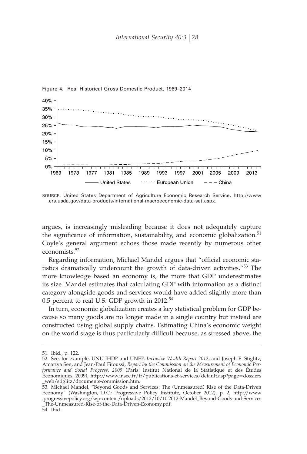

Figure 4. Real Historical Gross Domestic Product, 1969–2014

SOURCE: United States Department of Agriculture Economic Research Service, http://www .ers.usda.gov/data-products/international-macroeconomic-data-set.aspx.

argues, is increasingly misleading because it does not adequately capture the significance of information, sustainability, and economic globalization.<sup>51</sup> Coyle's general argument echoes those made recently by numerous other economists.<sup>52</sup>

Regarding information, Michael Mandel argues that "official economic statistics dramatically undercount the growth of data-driven activities."<sup>53</sup> The more knowledge based an economy is, the more that GDP underestimates its size. Mandel estimates that calculating GDP with information as a distinct category alongside goods and services would have added slightly more than 0.5 percent to real U.S. GDP growth in 2012.<sup>54</sup>

In turn, economic globalization creates a key statistical problem for GDP because so many goods are no longer made in a single country but instead are constructed using global supply chains. Estimating China's economic weight on the world stage is thus particularly difficult because, as stressed above, the

<sup>51.</sup> Ibid., p. 122.

<sup>52.</sup> See, for example, UNU-IHDP and UNEP, *Inclusive Wealth Report 2012*; and Joseph E. Stiglitz, Amartya Sen, and Jean-Paul Fitoussi, *Report by the Commission on the Measurement of Economic Performance and Social Progress, 2009* (Paris: Institut National de la Statistique et des Études Économiques, 2009), http://www.insee.fr/fr/publications-et-services/default.asp?page-dossiers \_web/stiglitz/documents-commission.htm.

<sup>53.</sup> Michael Mandel, "Beyond Goods and Services: The (Unmeasured) Rise of the Data-Driven Economy" (Washington, D.C.: Progressive Policy Institute, October 2012), p. 2, http://www .progressivepolicy.org/wp-content/uploads/2012/10/10.2012-Mandel\_Beyond-Goods-and-Services \_The-Unmeasured-Rise-of-the-Data-Driven-Economy.pdf. 54. Ibid.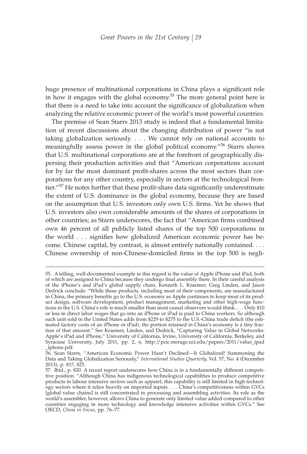huge presence of multinational corporations in China plays a significant role in how it engages with the global economy.<sup>55</sup> The more general point here is that there is a need to take into account the significance of globalization when analyzing the relative economic power of the world's most powerful countries.

The premise of Sean Starrs 2013 study is indeed that a fundamental limitation of recent discussions about the changing distribution of power "is not taking globalization seriously. . . . We cannot rely on national accounts to meaningfully assess power in the global political economy.<sup>"56</sup> Starrs shows that U.S. multinational corporations are at the forefront of geographically dispersing their production activities and that "American corporations account for by far the most dominant profit-shares across the most sectors than corporations for any other country, especially in sectors at the technological frontier. $157$  He notes further that these profit-share data significantly underestimate the extent of U.S. dominance in the global economy, because they are based on the assumption that U.S. investors only own U.S. firms. Yet he shows that U.S. investors also own considerable amounts of the shares of corporations in other countries; as Starrs underscores, the fact that "American firms combined own 46 percent of all publicly listed shares of the top 500 corporations in the world... signifies how globalized American economic power has become. Chinese capital, by contrast, is almost entirely nationally contained.... Chinese ownership of non-Chinese-domiciled firms in the top 500 is negli-

<sup>55.</sup> A telling, well-documented example in this regard is the value of Apple iPhone and iPad, both of which are assigned to China because they undergo final assembly there. In their careful analysis of the iPhone's and iPad's global supply chain, Kenneth L. Kraemer, Greg Linden, and Jason Dedrick conclude: "While these products, including most of their components, are manufactured in China, the primary benefits go to the U.S. economy as Apple continues to keep most of its product design, software development, product management, marketing and other high-wage functions in the U.S. China's role is much smaller than most casual observers would think. . . . Only \$10 or less in direct labor wages that go into an iPhone or iPad is paid to China workers. So although each unit sold in the United States adds from \$229 to \$275 to the U.S.-China trade deficit (the estimated factory costs of an iPhone or iPad), the portion retained in China's economy is a tiny fraction of that amount." See Kraemer, Linden, and Dedrick, "Capturing Value in Global Networks: Apple's iPad and iPhone," University of California, Irvine, University of California, Berkeley, and Syracuse University, July 2011, pp. 2, 6, http://pcic.merage.uci.edu/papers/2011/value\_ipad \_iphone.pdf.

<sup>56.</sup> Sean Starrs, "American Economic Power Hasn't Declined—It Globalized! Summoning the Data and Taking Globalization Seriously," *International Studies Quarterly*, Vol. 57, No. 4 (December 2013), p. 817, 825.

<sup>57.</sup> Ibid., p. 820. A recent report underscores how China is in a fundamentally different competitive position: "Although China has indigenous technological capabilities to produce competitive products in labour intensive sectors such as apparel, this capability is still limited in high technology sectors where it relies heavily on imported inputs. . . . China's competitiveness within GVCs [global value chains] is still concentrated in processing and assembling activities. Its role as the world's assembler, however, allows China to generate only limited value added compared to other countries engaging in more technology and knowledge intensive activities within GVCs." See OECD, *China in Focus*, pp. 76–77.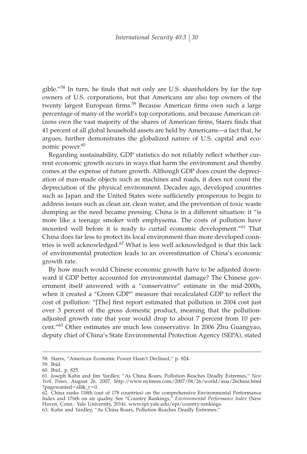gible."<sup>58</sup> In turn, he finds that not only are U.S. shareholders by far the top owners of U.S. corporations, but that Americans are also top owners of the twenty largest European firms.<sup>59</sup> Because American firms own such a large percentage of many of the world's top corporations, and because American citizens own the vast majority of the shares of American firms, Starrs finds that 41 percent of all global household assets are held by Americans—a fact that, he argues, further demonstrates the globalized nature of U.S. capital and economic power.<sup>60</sup>

Regarding sustainability, GDP statistics do not reliably reflect whether current economic growth occurs in ways that harm the environment and thereby comes at the expense of future growth. Although GDP does count the depreciation of man-made objects such as machines and roads, it does not count the depreciation of the physical environment. Decades ago, developed countries such as Japan and the United States were sufficiently prosperous to begin to address issues such as clean air, clean water, and the prevention of toxic waste dumping as the need became pressing. China is in a different situation: it "is more like a teenage smoker with emphysema. The costs of pollution have mounted well before it is ready to curtail economic development."<sup>61</sup> That China does far less to protect its local environment than more developed countries is well acknowledged.<sup>62</sup> What is less well acknowledged is that this lack of environmental protection leads to an overestimation of China's economic growth rate.

By how much would Chinese economic growth have to be adjusted downward if GDP better accounted for environmental damage? The Chinese government itself answered with a "conservative" estimate in the mid-2000s, when it created a "Green GDP" measure that recalculated GDP to reflect the cost of pollution: "[The] first report estimated that pollution in 2004 cost just over 3 percent of the gross domestic product, meaning that the pollutionadjusted growth rate that year would drop to about 7 percent from 10 percent."63 Other estimates are much less conservative. In 2006 Zhu Guangyao, deputy chief of China's State Environmental Protection Agency (SEPA), stated

<sup>58.</sup> Starrs, "American Economic Power Hasn't Declined," p. 824.

<sup>59.</sup> Ibid.

<sup>60.</sup> Ibid., p. 825.

<sup>61.</sup> Joseph Kahn and Jim Yardley, "As China Roars, Pollution Reaches Deadly Extremes," *New York Times*, August 26, 2007, http://www.nytimes.com/2007/08/26/world/asia/26china.html ?pagewanted=all&\_r=0.

<sup>62.</sup> China ranks 118th (out of 178 countries) on the comprehensive Environmental Performance Index and 176th on air quality. See "Country Rankings," *Environmental Performance Index* (New Haven, Conn.: Yale University, 2014), www.epi.yale.edu/epi/country-rankings.

<sup>63.</sup> Kahn and Yardley, "As China Roars, Pollution Reaches Deadly Extremes."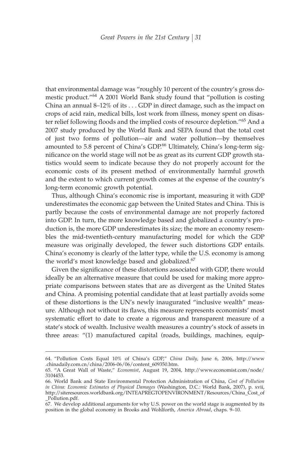that environmental damage was "roughly 10 percent of the country's gross domestic product."<sup>64</sup> A 2001 World Bank study found that "pollution is costing China an annual  $8-12\%$  of its . . . GDP in direct damage, such as the impact on crops of acid rain, medical bills, lost work from illness, money spent on disaster relief following floods and the implied costs of resource depletion."<sup>65</sup> And a 2007 study produced by the World Bank and SEPA found that the total cost of just two forms of pollution—air and water pollution—by themselves amounted to 5.8 percent of China's GDP.<sup>66</sup> Ultimately, China's long-term significance on the world stage will not be as great as its current GDP growth statistics would seem to indicate because they do not properly account for the economic costs of its present method of environmentally harmful growth and the extent to which current growth comes at the expense of the country's long-term economic growth potential.

Thus, although China's economic rise is important, measuring it with GDP underestimates the economic gap between the United States and China. This is partly because the costs of environmental damage are not properly factored into GDP. In turn, the more knowledge based and globalized a country's production is, the more GDP underestimates its size; the more an economy resembles the mid-twentieth-century manufacturing model for which the GDP measure was originally developed, the fewer such distortions GDP entails. China's economy is clearly of the latter type, while the U.S. economy is among the world's most knowledge based and globalized.<sup>67</sup>

Given the significance of these distortions associated with GDP, there would ideally be an alternative measure that could be used for making more appropriate comparisons between states that are as divergent as the United States and China. A promising potential candidate that at least partially avoids some of these distortions is the UN's newly inaugurated "inclusive wealth" measure. Although not without its flaws, this measure represents economists' most systematic effort to date to create a rigorous and transparent measure of a state's stock of wealth. Inclusive wealth measures a country's stock of assets in three areas: "(1) manufactured capital (roads, buildings, machines, equip-

<sup>64. &</sup>quot;Pollution Costs Equal 10% of China's GDP," *China Daily*, June 6, 2006, http://www .chinadaily.com.cn/china/2006-06/06/content\_609350.htm.

<sup>65. &</sup>quot;A Great Wall of Waste," *Economist*, August 19, 2004, http://www.economist.com/node/ 3104453.

<sup>66.</sup> World Bank and State Environmental Protection Administration of China, *Cost of Pollution in China: Economic Estimates of Physical Damages* (Washington, D.C.: World Bank, 2007), p. xvii, http://siteresources.worldbank.org/INTEAPREGTOPENVIRONMENT/Resources/China\_Cost\_of \_Pollution.pdf.

<sup>67.</sup> We develop additional arguments for why U.S. power on the world stage is augmented by its position in the global economy in Brooks and Wohlforth, *America Abroad*, chaps. 9–10.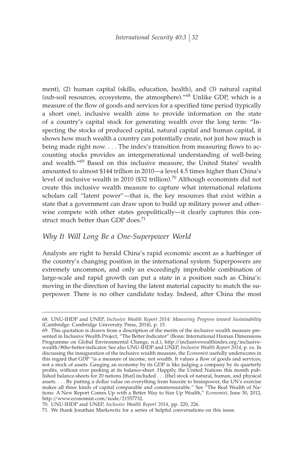ment), (2) human capital (skills, education, health), and (3) natural capital (sub-soil resources, ecosystems, the atmosphere)."<sup>68</sup> Unlike GDP, which is a measure of the flow of goods and services for a specified time period (typically a short one), inclusive wealth aims to provide information on the state of a country's capital stock for generating wealth over the long term: "Inspecting the stocks of produced capital, natural capital and human capital, it shows how much wealth a country can potentially create, not just how much is being made right now.  $\dots$  The index's transition from measuring flows to accounting stocks provides an intergenerational understanding of well-being and wealth."<sup>69</sup> Based on this inclusive measure, the United States' wealth amounted to almost \$144 trillion in 2010—a level 4.5 times higher than China's level of inclusive wealth in 2010 (\$32 trillion).<sup>70</sup> Although economists did not create this inclusive wealth measure to capture what international relations scholars call "latent power"—that is, the key resources that exist within a state that a government can draw upon to build up military power and otherwise compete with other states geopolitically—it clearly captures this construct much better than GDP does.<sup>71</sup>

## *Why It Will Long Be a One-Superpower World*

Analysts are right to herald China's rapid economic ascent as a harbinger of the country's changing position in the international system. Superpowers are extremely uncommon, and only an exceedingly improbable combination of large-scale and rapid growth can put a state in a position such as China's: moving in the direction of having the latent material capacity to match the superpower. There is no other candidate today. Indeed, after China the most

<sup>68.</sup> UNU-IHDP and UNEP, *Inclusive Wealth Report 2014: Measuring Progress toward Sustainability* (Cambridge: Cambridge University Press, 2014), p. 15.

<sup>69.</sup> This quotation is drawn from a description of the merits of the inclusive wealth measure presented in Inclusive Wealth Project, "The Better Indicator" (Bonn: International Human Dimensions Programme on Global Environmental Change, n.d.), http://inclusivewealthindex.org/inclusivewealth/#the-better-indicator. See also UNU-IHDP and UNEP, *Inclusive Wealth Report 2014*, p. xx. In discussing the inauguration of the inclusive wealth measure, the *Economist* usefully underscores in this regard that GDP "is a measure of income, not wealth. It values a flow of goods and services, not a stock of assets. Gauging an economy by its GDP is like judging a company by its quarterly profits, without ever peeking at its balance-sheet. Happily, the United Nations this month published balance-sheets for 20 nations [that] included... [the] stock of natural, human, and physical assets. . . . By putting a dollar value on everything from bauxite to brainpower, the UN's exercise makes all three kinds of capital comparable and commensurable." See "The Real Wealth of Nations: A New Report Comes Up with a Better Way to Size Up Wealth," *Economist*, June 30, 2012, http://www.economist.com/node/21557732.

<sup>70.</sup> UNU-IHDP and UNEP, *Inclusive Wealth Report 2014*, pp. 220, 226.

<sup>71.</sup> We thank Jonathan Markowitz for a series of helpful conversations on this issue.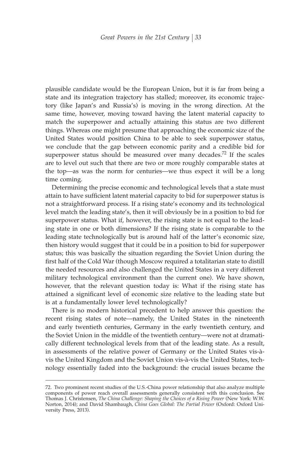plausible candidate would be the European Union, but it is far from being a state and its integration trajectory has stalled; moreover, its economic trajectory (like Japan's and Russia's) is moving in the wrong direction. At the same time, however, moving toward having the latent material capacity to match the superpower and actually attaining this status are two different things. Whereas one might presume that approaching the economic size of the United States would position China to be able to seek superpower status, we conclude that the gap between economic parity and a credible bid for superpower status should be measured over many decades.<sup>72</sup> If the scales are to level out such that there are two or more roughly comparable states at the top—as was the norm for centuries—we thus expect it will be a long time coming.

Determining the precise economic and technological levels that a state must attain to have sufficient latent material capacity to bid for superpower status is not a straightforward process. If a rising state's economy and its technological level match the leading state's, then it will obviously be in a position to bid for superpower status. What if, however, the rising state is not equal to the leading state in one or both dimensions? If the rising state is comparable to the leading state technologically but is around half of the latter's economic size, then history would suggest that it could be in a position to bid for superpower status; this was basically the situation regarding the Soviet Union during the first half of the Cold War (though Moscow required a totalitarian state to distill the needed resources and also challenged the United States in a very different military technological environment than the current one). We have shown, however, that the relevant question today is: What if the rising state has attained a significant level of economic size relative to the leading state but is at a fundamentally lower level technologically?

There is no modern historical precedent to help answer this question: the recent rising states of note—namely, the United States in the nineteenth and early twentieth centuries, Germany in the early twentieth century, and the Soviet Union in the middle of the twentieth century—were not at dramatically different technological levels from that of the leading state. As a result, in assessments of the relative power of Germany or the United States vis-àvis the United Kingdom and the Soviet Union vis-à-vis the United States, technology essentially faded into the background: the crucial issues became the

<sup>72.</sup> Two prominent recent studies of the U.S.-China power relationship that also analyze multiple components of power reach overall assessments generally consistent with this conclusion. See Thomas J. Christensen, *The China Challenge: Shaping the Choices of a Rising Power* (New York: W.W. Norton, 2014); and David Shambaugh, *China Goes Global: The Partial Power* (Oxford: Oxford University Press, 2013).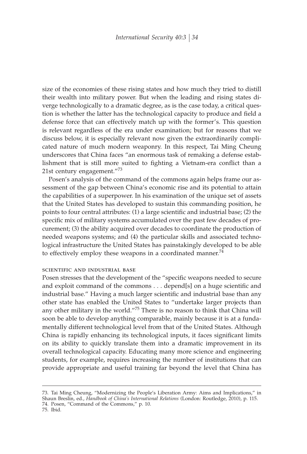size of the economies of these rising states and how much they tried to distill their wealth into military power. But when the leading and rising states diverge technologically to a dramatic degree, as is the case today, a critical question is whether the latter has the technological capacity to produce and field a defense force that can effectively match up with the former's. This question is relevant regardless of the era under examination; but for reasons that we discuss below, it is especially relevant now given the extraordinarily complicated nature of much modern weaponry. In this respect, Tai Ming Cheung underscores that China faces "an enormous task of remaking a defense establishment that is still more suited to fighting a Vietnam-era conflict than a 21st century engagement."<sup>73</sup>

Posen's analysis of the command of the commons again helps frame our assessment of the gap between China's economic rise and its potential to attain the capabilities of a superpower. In his examination of the unique set of assets that the United States has developed to sustain this commanding position, he points to four central attributes:  $(1)$  a large scientific and industrial base;  $(2)$  the specific mix of military systems accumulated over the past few decades of procurement; (3) the ability acquired over decades to coordinate the production of needed weapons systems; and (4) the particular skills and associated technological infrastructure the United States has painstakingly developed to be able to effectively employ these weapons in a coordinated manner.<sup>74</sup>

#### SCIENTIFIC AND INDUSTRIAL BASE

Posen stresses that the development of the "specific weapons needed to secure and exploit command of the commons  $\dots$  depend[s] on a huge scientific and industrial base." Having a much larger scientific and industrial base than any other state has enabled the United States to "undertake larger projects than any other military in the world."<sup>75</sup> There is no reason to think that China will soon be able to develop anything comparable, mainly because it is at a fundamentally different technological level from that of the United States. Although China is rapidly enhancing its technological inputs, it faces significant limits on its ability to quickly translate them into a dramatic improvement in its overall technological capacity. Educating many more science and engineering students, for example, requires increasing the number of institutions that can provide appropriate and useful training far beyond the level that China has

<sup>73.</sup> Tai Ming Cheung, "Modernizing the People's Liberation Army: Aims and Implications," in Shaun Breslin, ed., *Handbook of China's International Relations* (London: Routledge, 2010), p. 115. 74. Posen, "Command of the Commons," p. 10. 75. Ibid.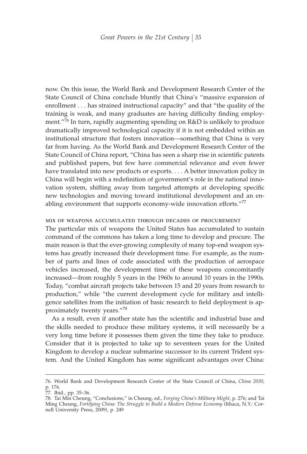now. On this issue, the World Bank and Development Research Center of the State Council of China conclude bluntly that China's "massive expansion of enrollment . . . has strained instructional capacity" and that "the quality of the training is weak, and many graduates are having difficulty finding employment."<sup>76</sup> In turn, rapidly augmenting spending on R&D is unlikely to produce dramatically improved technological capacity if it is not embedded within an institutional structure that fosters innovation—something that China is very far from having. As the World Bank and Development Research Center of the State Council of China report, "China has seen a sharp rise in scientific patents and published papers, but few have commercial relevance and even fewer have translated into new products or exports.... A better innovation policy in China will begin with a redefinition of government's role in the national innovation system, shifting away from targeted attempts at developing specific new technologies and moving toward institutional development and an enabling environment that supports economy-wide innovation efforts."77

#### mix of weapons accumulated through decades of procurement

The particular mix of weapons the United States has accumulated to sustain command of the commons has taken a long time to develop and procure. The main reason is that the ever-growing complexity of many top-end weapon systems has greatly increased their development time. For example, as the number of parts and lines of code associated with the production of aerospace vehicles increased, the development time of these weapons concomitantly increased—from roughly 5 years in the 1960s to around 10 years in the 1990s. Today, "combat aircraft projects take between 15 and 20 years from research to production," while "the current development cycle for military and intelligence satellites from the initiation of basic research to field deployment is approximately twenty years."<sup>78</sup>

As a result, even if another state has the scientific and industrial base and the skills needed to produce these military systems, it will necessarily be a very long time before it possesses them given the time they take to produce. Consider that it is projected to take up to seventeen years for the United Kingdom to develop a nuclear submarine successor to its current Trident system. And the United Kingdom has some significant advantages over China:

<sup>76.</sup> World Bank and Development Research Center of the State Council of China, *China 2030*, p. 176.

<sup>77.</sup> Ibid., pp. 35–36.

<sup>78.</sup> Tai Min Cheung, "Conclusions," in Cheung, ed., *Forging China's Military Might*, p. 276; and Tai Ming Cheung, *Fortifying China: The Struggle to Build a Modern Defense Economy* (Ithaca, N.Y.: Cornell University Press, 2009), p. 249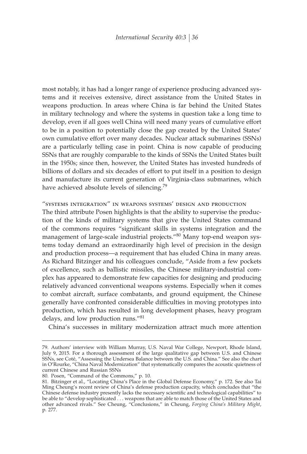most notably, it has had a longer range of experience producing advanced systems and it receives extensive, direct assistance from the United States in weapons production. In areas where China is far behind the United States in military technology and where the systems in question take a long time to develop, even if all goes well China will need many years of cumulative effort to be in a position to potentially close the gap created by the United States' own cumulative effort over many decades. Nuclear attack submarines (SSNs) are a particularly telling case in point. China is now capable of producing SSNs that are roughly comparable to the kinds of SSNs the United States built in the 1950s; since then, however, the United States has invested hundreds of billions of dollars and six decades of effort to put itself in a position to design and manufacture its current generation of Virginia-class submarines, which have achieved absolute levels of silencing.<sup>79</sup>

"systems integration" in weapons systems' design and production The third attribute Posen highlights is that the ability to supervise the production of the kinds of military systems that give the United States command of the commons requires "significant skills in systems integration and the management of large-scale industrial projects."<sup>80</sup> Many top-end weapon systems today demand an extraordinarily high level of precision in the design and production process—a requirement that has eluded China in many areas. As Richard Bitzinger and his colleagues conclude, "Aside from a few pockets of excellence, such as ballistic missiles, the Chinese military-industrial complex has appeared to demonstrate few capacities for designing and producing relatively advanced conventional weapons systems. Especially when it comes to combat aircraft, surface combatants, and ground equipment, the Chinese generally have confronted considerable difficulties in moving prototypes into production, which has resulted in long development phases, heavy program delays, and low production runs."<sup>81</sup>

China's successes in military modernization attract much more attention

<sup>79.</sup> Authors' interview with William Murray, U.S. Naval War College, Newport, Rhode Island, July 9, 2015. For a thorough assessment of the large qualitative gap between U.S. and Chinese SSNs, see Coté, "Assessing the Undersea Balance between the U.S. and China." See also the chart in O'Rourke, "China Naval Modernization" that systematically compares the acoustic quietness of current Chinese and Russian SSNs

<sup>80.</sup> Posen, "Command of the Commons," p. 10.

<sup>81.</sup> Bitzinger et al., "Locating China's Place in the Global Defense Economy," p. 172. See also Tai Ming Cheung's recent review of China's defense production capacity, which concludes that "the Chinese defense industry presently lacks the necessary scientific and technological capabilities" to be able to "develop sophisticated ... weapons that are able to match those of the United States and other advanced rivals." See Cheung, "Conclusions," in Cheung, *Forging China's Military Might*, p. 277.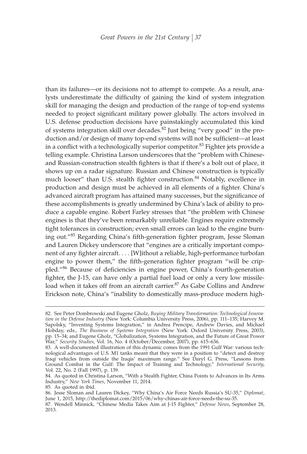than its failures—or its decisions not to attempt to compete. As a result, analysts underestimate the difficulty of gaining the kind of system integration skill for managing the design and production of the range of top-end systems needed to project significant military power globally. The actors involved in U.S. defense production decisions have painstakingly accumulated this kind of systems integration skill over decades.<sup>82</sup> Just being "very good" in the production and/or design of many top-end systems will not be sufficient—at least in a conflict with a technologically superior competitor.<sup>83</sup> Fighter jets provide a telling example. Christina Larson underscores that the "problem with Chineseand Russian-construction stealth fighters is that if there's a bolt out of place, it shows up on a radar signature. Russian and Chinese construction is typically much looser" than U.S. stealth fighter construction.<sup>84</sup> Notably, excellence in production and design must be achieved in all elements of a fighter. China's advanced aircraft program has attained many successes, but the significance of these accomplishments is greatly undermined by China's lack of ability to produce a capable engine. Robert Farley stresses that "the problem with Chinese engines is that they've been remarkably unreliable. Engines require extremely tight tolerances in construction; even small errors can lead to the engine burning out."<sup>85</sup> Regarding China's fifth-generation fighter program, Jesse Sloman and Lauren Dickey underscore that "engines are a critically important component of any fighter aircraft.... [W]ithout a reliable, high-performance turbofan engine to power them," the fifth-generation fighter program "will be crippled."<sup>86</sup> Because of deficiencies in engine power, China's fourth-generation fighter, the J-15, can have only a partial fuel load or only a very low missileload when it takes off from an aircraft carrier.<sup>87</sup> As Gabe Collins and Andrew Erickson note, China's "inability to domestically mass-produce modern high-

<sup>82.</sup> See Peter Dombrowski and Eugene Gholz, *Buying Military Transformation: Technological Innovation in the Defense Industry* (New York: Columbia University Press, 2006), pp. 111–135; Harvey M. Sapolsky, "Inventing Systems Integration," in Andrea Prencipe, Andrew Davies, and Michael Hobday, eds., *The Business of Systems Integration* (New York: Oxford University Press, 2003), pp. 15–34; and Eugene Gholz, "Globalization, Systems Integration, and the Future of Great Power War," *Security Studies*, Vol. 16, No. 4 (October/December, 2007), pp. 615–636.

<sup>83.</sup> A well-documented illustration of this dynamic comes from the 1991 Gulf War: various technological advantages of U.S. M1 tanks meant that they were in a position to "detect and destroy Iraqi vehicles from outside the Iraqis' maximum range." See Daryl G. Press, "Lessons from Ground Combat in the Gulf: The Impact of Training and Technology," *International Security*, Vol. 22, No. 2 (Fall 1997), p. 139.

<sup>84.</sup> As quoted in Christina Larson, "With a Stealth Fighter, China Points to Advances in Its Arms Industry," *New York Times*, November 11, 2014.

<sup>85.</sup> As quoted in ibid.

<sup>86.</sup> Jesse Sloman and Lauren Dickey, "Why China's Air Force Needs Russia's SU-35," *Diplomat*, June 1, 2015, http://thediplomat.com/2015/06/why-chinas-air-force-needs-the-su-35.

<sup>87.</sup> Wendell Minnick, "Chinese Media Takes Aim at J-15 Fighter," *Defense News*, September 28, 2013.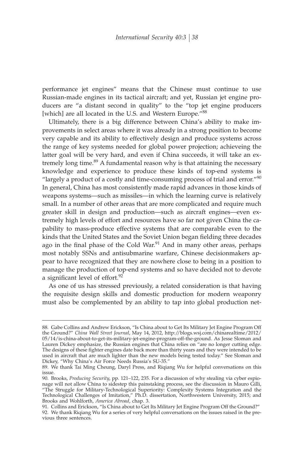performance jet engines" means that the Chinese must continue to use Russian-made engines in its tactical aircraft; and yet, Russian jet engine producers are "a distant second in quality" to the "top jet engine producers [which] are all located in the U.S. and Western Europe."88

Ultimately, there is a big difference between China's ability to make improvements in select areas where it was already in a strong position to become very capable and its ability to effectively design and produce systems across the range of key systems needed for global power projection; achieveing the latter goal will be very hard, and even if China succeeds, it will take an extremely long time.<sup>89</sup> A fundamental reason why is that attaining the necessary knowledge and experience to produce these kinds of top-end systems is "largely a product of a costly and time-consuming process of trial and error." $90$ In general, China has most consistently made rapid advances in those kinds of weapons systems—such as missiles—in which the learning curve is relatively small. In a number of other areas that are more complicated and require much greater skill in design and production—such as aircraft engines—even extremely high levels of effort and resources have so far not given China the capability to mass-produce effective systems that are comparable even to the kinds that the United States and the Soviet Union began fielding three decades ago in the final phase of the Cold War.<sup>91</sup> And in many other areas, perhaps most notably SSNs and antisubmarine warfare, Chinese decisionmakers appear to have recognized that they are nowhere close to being in a position to manage the production of top-end systems and so have decided not to devote a significant level of effort.<sup>92</sup>

As one of us has stressed previously, a related consideration is that having the requisite design skills and domestic production for modern weaponry must also be complemented by an ability to tap into global production net-

<sup>88.</sup> Gabe Collins and Andrew Erickson, "Is China about to Get Its Military Jet Engine Program Off the Ground?" *China Wall Street Journal*, May 14, 2012, http://blogs.wsj.com/chinarealtime/2012/ 05/14/is-china-about-to-get-its-military-jet-engine-program-off-the-ground. As Jesse Sloman and Lauren Dickey emphasize, the Russian engines that China relies on "are no longer cutting edge. The designs of these fighter engines date back more than thirty years and they were intended to be used in aircraft that are much lighter than the new models being tested today." See Sloman and Dickey, "Why China's Air Force Needs Russia's SU-35."

<sup>89.</sup> We thank Tai Ming Cheung, Daryl Press, and Riqiang Wu for helpful conversations on this issue.

<sup>90.</sup> Brooks, *Producing Security*, pp. 121–122, 235. For a discussion of why stealing via cyber espionage will not allow China to sidestep this painstaking process, see the discussion in Mauro Gilli, "The Struggle for Military-Technological Superiority: Complexity Systems Integration and the Technological Challenges of Imitation," Ph.D. dissertation, Northwestern University, 2015; and Brooks and Wohlforth, *America Abroad*, chap. 3.

<sup>91.</sup> Collins and Erickson, "Is China about to Get Its Military Jet Engine Program Off the Ground?" 92. We thank Riqiang Wu for a series of very helpful conversations on the issues raised in the previous three sentences.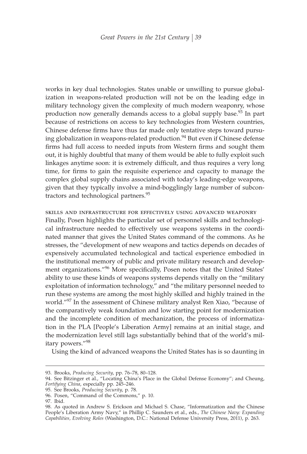works in key dual technologies. States unable or unwilling to pursue globalization in weapons-related production will not be on the leading edge in military technology given the complexity of much modern weaponry, whose production now generally demands access to a global supply base.<sup>93</sup> In part because of restrictions on access to key technologies from Western countries, Chinese defense firms have thus far made only tentative steps toward pursuing globalization in weapons-related production. $94$  But even if Chinese defense firms had full access to needed inputs from Western firms and sought them out, it is highly doubtful that many of them would be able to fully exploit such linkages anytime soon: it is extremely difficult, and thus requires a very long time, for firms to gain the requisite experience and capacity to manage the complex global supply chains associated with today's leading-edge weapons, given that they typically involve a mind-bogglingly large number of subcontractors and technological partners.<sup>95</sup>

skills and infrastructure for effectively using advanced weaponry Finally, Posen highlights the particular set of personnel skills and technological infrastructure needed to effectively use weapons systems in the coordinated manner that gives the United States command of the commons. As he stresses, the "development of new weapons and tactics depends on decades of expensively accumulated technological and tactical experience embodied in the institutional memory of public and private military research and development organizations."<sup>96</sup> More specifically, Posen notes that the United States' ability to use these kinds of weapons systems depends vitally on the "military exploitation of information technology," and "the military personnel needed to run these systems are among the most highly skilled and highly trained in the world."<sup>97</sup> In the assessment of Chinese military analyst Ren Xiao, "because of the comparatively weak foundation and low starting point for modernization and the incomplete condition of mechanization, the process of informatization in the PLA [People's Liberation Army] remains at an initial stage, and the modernization level still lags substantially behind that of the world's military powers."98

Using the kind of advanced weapons the United States has is so daunting in

<sup>93.</sup> Brooks, *Producing Security*, pp. 76–78, 80–128.

<sup>94.</sup> See Bitzinger et al., "Locating China's Place in the Global Defense Economy"; and Cheung, *Fortifying China*, especially pp. 245–246.

<sup>95.</sup> See Brooks, *Producing Security*, p. 78.

<sup>96.</sup> Posen, "Command of the Commons," p. 10.

<sup>97.</sup> Ibid.

<sup>98.</sup> As quoted in Andrew S. Erickson and Michael S. Chase, "Informatization and the Chinese People's Liberation Army Navy," in Phillip C. Saunders et al., eds., *The Chinese Navy: Expanding Capabilities, Evolving Roles* (Washington, D.C.: National Defense University Press, 2011), p. 263.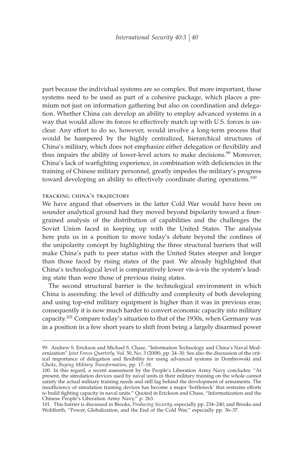part because the individual systems are so complex. But more important, these systems need to be used as part of a cohesive package, which places a premium not just on information gathering but also on coordination and delegation. Whether China can develop an ability to employ advanced systems in a way that would allow its forces to effectively match up with U.S. forces is unclear. Any effort to do so, however, would involve a long-term process that would be hampered by the highly centralized, hierarchical structures of China's military, which does not emphasize either delegation or flexibility and thus impairs the ability of lower-level actors to make decisions.<sup>99</sup> Moreover, China's lack of warfighting experience, in combination with deficiencies in the training of Chinese military personnel, greatly impedes the military's progress toward developing an ability to effectively coordinate during operations.<sup>100</sup>

#### tracking china's trajectory

We have argued that observers in the latter Cold War would have been on sounder analytical ground had they moved beyond bipolarity toward a finergrained analysis of the distribution of capabilities and the challenges the Soviet Union faced in keeping up with the United States. The analysis here puts us in a position to move today's debate beyond the confines of the unipolarity concept by highlighting the three structural barriers that will make China's path to peer status with the United States steeper and longer than those faced by rising states of the past. We already highlighted that China's technological level is comparatively lower vis-à-vis the system's leading state than were those of previous rising states.

The second structural barrier is the technological environment in which China is ascending: the level of difficulty and complexity of both developing and using top-end military equipment is higher than it was in previous eras; consequently it is now much harder to convert economic capacity into military capacity.<sup>101</sup> Compare today's situation to that of the 1930s, when Germany was in a position in a few short years to shift from being a largely disarmed power

<sup>99.</sup> Andrew S. Erickson and Michael S. Chase, "Information Technology and China's Naval Modernization" *Joint Forces Quarterly*, Vol. 50, No. 3 (2008), pp. 24–30. See also the discussion of the critical importance of delegation and flexibility for using advanced systems in Dombrowski and Gholz, *Buying Military Transformation*, pp. 17–18.

<sup>100.</sup> In this regard, a recent assessment by the People's Liberation Army Navy concludes: "At present, the simulation devices used by naval units in their military training on the whole cannot satisfy the actual military training needs and still lag behind the development of armaments. The insufficiency of simulation training devices has become a major 'bottleneck' that restrains efforts to build fighting capacity in naval units." Quoted in Erickson and Chase, "Informatization and the Chinese People's Liberation Army Navy," p. 263.

<sup>101.</sup> This barrier is discussed in Brooks, *Producing Security*, especially pp. 234–240; and Brooks and Wohlforth, "Power, Globalization, and the End of the Cold War," especially pp. 36–37.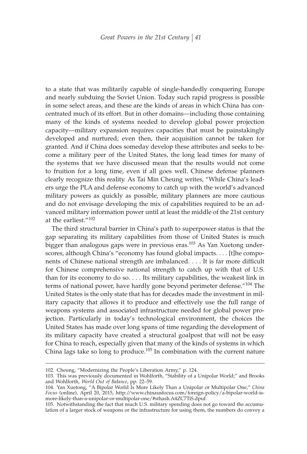to a state that was militarily capable of single-handedly conquering Europe and nearly subduing the Soviet Union. Today such rapid progress is possible in some select areas, and these are the kinds of areas in which China has concentrated much of its effort. But in other domains—including those containing many of the kinds of systems needed to develop global power projection capacity—military expansion requires capacities that must be painstakingly developed and nurtured; even then, their acquisition cannot be taken for granted. And if China does someday develop these attributes and seeks to become a military peer of the United States, the long lead times for many of the systems that we have discussed mean that the results would not come to fruition for a long time, even if all goes well. Chinese defense planners clearly recognize this reality. As Tai Min Cheung writes, "While China's leaders urge the PLA and defense economy to catch up with the world's advanced military powers as quickly as possible, military planners are more cautious and do not envisage developing the mix of capabilities required to be an advanced military information power until at least the middle of the 21st century at the earliest." $102$ 

The third structural barrier in China's path to superpower status is that the gap separating its military capabilities from those of United States is much bigger than analogous gaps were in previous eras.<sup>103</sup> As Yan Xuetong underscores, although China's "economy has found global impacts.... [t]he components of Chinese national strength are imbalanced.  $\dots$  It is far more difficult for Chinese comprehensive national strength to catch up with that of U.S. than for its economy to do so. . . . Its military capabilities, the weakest link in terms of national power, have hardly gone beyond perimeter defense."<sup>104</sup> The United States is the only state that has for decades made the investment in military capacity that allows it to produce and effectively use the full range of weapons systems and associated infrastructure needed for global power projection. Particularly in today's technological environment, the choices the United States has made over long spans of time regarding the development of its military capacity have created a structural goalpost that will not be easy for China to reach, especially given that many of the kinds of systems in which China lags take so long to produce.<sup>105</sup> In combination with the current nature

<sup>102.</sup> Cheung, "Modernizing the People's Liberation Army," p. 124.

<sup>103.</sup> This was previously documented in Wohlforth, "Stability of a Unipolar World;" and Brooks and Wohlforth, *World Out of Balance*, pp. 22–59.

<sup>104.</sup> Yan Xuetong, "A Bipolar World Is More Likely Than a Unipolar or Multipolar One," *China Focus* (online), April 20, 2015, http://www.chinausfocus.com/foreign-policy/a-bipolar-world-ismore-likely-than-a-unipolar-or-multipolar-one/#sthash.A4ZC7TiS.dpuf.

<sup>105.</sup> Notwithstanding the fact that much U.S. military spending does not go toward the accumulation of a larger stock of weapons or the infrastructure for using them, the numbers do convey a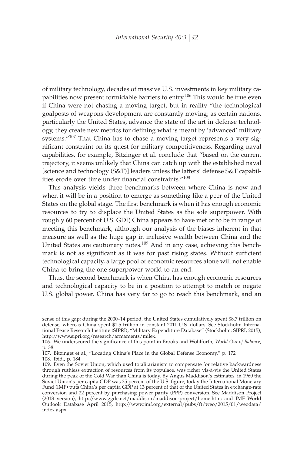of military technology, decades of massive U.S. investments in key military capabilities now present formidable barriers to entry.<sup>106</sup> This would be true even if China were not chasing a moving target, but in reality "the technological goalposts of weapons development are constantly moving; as certain nations, particularly the United States, advance the state of the art in defense technology, they create new metrics for defining what is meant by 'advanced' military systems."<sup>107</sup> That China has to chase a moving target represents a very significant constraint on its quest for military competitiveness. Regarding naval capabilities, for example, Bitzinger et al. conclude that "based on the current trajectory, it seems unlikely that China can catch up with the established naval [science and technology (S&T)] leaders unless the latters' defense S&T capabilities erode over time under financial constraints."<sup>108</sup>

This analysis yields three benchmarks between where China is now and when it will be in a position to emerge as something like a peer of the United States on the global stage. The first benchmark is when it has enough economic resources to try to displace the United States as the sole superpower. With roughly 60 percent of U.S. GDP, China appears to have met or to be in range of meeting this benchmark, although our analysis of the biases inherent in that measure as well as the huge gap in inclusive wealth between China and the United States are cautionary notes.<sup>109</sup> And in any case, achieving this benchmark is not as significant as it was for past rising states. Without sufficient technological capacity, a large pool of economic resources alone will not enable China to bring the one-superpower world to an end.

Thus, the second benchmark is when China has enough economic resources and technological capacity to be in a position to attempt to match or negate U.S. global power. China has very far to go to reach this benchmark, and an

sense of this gap: during the 2000–14 period, the United States cumulatively spent \$8.7 trillion on defense, whereas China spent \$1.5 trillion in constant 2011 U.S. dollars. See Stockholm International Peace Research Institute (SIPRI), "Military Expenditure Database" (Stockholm: SIPRI, 2015), http://www.sipri.org/research/armaments/milex.

<sup>106.</sup> We underscored the significance of this point in Brooks and Wohlforth, *World Out of Balance*, p. 38.

<sup>107.</sup> Bitzinget et al., "Locating China's Place in the Global Defense Economy," p. 172 108. Ibid., p. 184

<sup>109.</sup> Even the Soviet Union, which used totalitarianism to compensate for relative backwardness through ruthless extraction of resources from its populace, was richer vis-à-vis the United States during the peak of the Cold War than China is today. By Angus Maddison's estimates, in 1960 the Soviet Union's per capita GDP was 35 percent of the U.S. figure; today the International Monetary Fund (IMF) puts China's per capita GDP at 13 percent of that of the United States in exchange-rate conversion and 22 percent by purchasing power parity (PPP) conversion. See Maddison Project (2013 version), http://www.ggdc.net/maddison/maddison-project/home.htm; and IMF World Outlook Database April 2015, http://www.imf.org/external/pubs/ft/weo/2015/01/weodata/ index.aspx.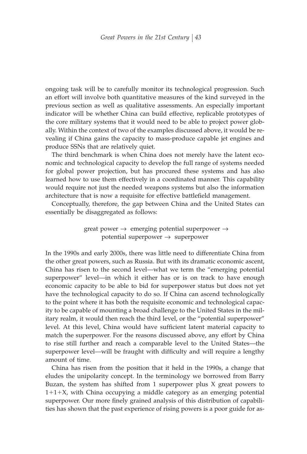ongoing task will be to carefully monitor its technological progression. Such an effort will involve both quantitative measures of the kind surveyed in the previous section as well as qualitative assessments. An especially important indicator will be whether China can build effective, replicable prototypes of the core military systems that it would need to be able to project power globally. Within the context of two of the examples discussed above, it would be revealing if China gains the capacity to mass-produce capable jet engines and produce SSNs that are relatively quiet.

The third benchmark is when China does not merely have the latent economic and technological capacity to develop the full range of systems needed for global power projection, but has procured these systems and has also learned how to use them effectively in a coordinated manner. This capability would require not just the needed weapons systems but also the information architecture that is now a requisite for effective battlefield management.

Conceptually, therefore, the gap between China and the United States can essentially be disaggregated as follows:

> great power  $\rightarrow$  emerging potential superpower  $\rightarrow$ potential superpower  $\rightarrow$  superpower

In the 1990s and early 2000s, there was little need to differentiate China from the other great powers, such as Russia. But with its dramatic economic ascent, China has risen to the second level—what we term the "emerging potential superpower" level—in which it either has or is on track to have enough economic capacity to be able to bid for superpower status but does not yet have the technological capacity to do so. If China can ascend technologically to the point where it has both the requisite economic and technological capacity to be capable of mounting a broad challenge to the United States in the military realm, it would then reach the third level, or the "potential superpower" level. At this level, China would have sufficient latent material capacity to match the superpower. For the reasons discussed above, any effort by China to rise still further and reach a comparable level to the United States—the superpower level—will be fraught with difficulty and will require a lengthy amount of time.

China has risen from the position that it held in the 1990s, a change that eludes the unipolarity concept. In the terminology we borrowed from Barry Buzan, the system has shifted from 1 superpower plus X great powers to  $1+1+X$ , with China occupying a middle category as an emerging potential superpower. Our more finely grained analysis of this distribution of capabilities has shown that the past experience of rising powers is a poor guide for as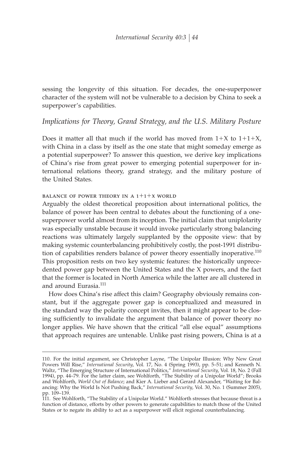sessing the longevity of this situation. For decades, the one-superpower character of the system will not be vulnerable to a decision by China to seek a superpower's capabilities.

## *Implications for Theory, Grand Strategy, and the U.S. Military Posture*

Does it matter all that much if the world has moved from  $1+X$  to  $1+1+X$ , with China in a class by itself as the one state that might someday emerge as a potential superpower? To answer this question, we derive key implications of China's rise from great power to emerging potential superpower for international relations theory, grand strategy, and the military posture of the United States.

#### BALANCE OF POWER THEORY IN A  $1+1+x$  world

Arguably the oldest theoretical proposition about international politics, the balance of power has been central to debates about the functioning of a onesuperpower world almost from its inception. The initial claim that uniplolarity was especially unstable because it would invoke particularly strong balancing reactions was ultimately largely supplanted by the opposite view: that by making systemic counterbalancing prohibitively costly, the post-1991 distribution of capabilities renders balance of power theory essentially inoperative.<sup>110</sup> This proposition rests on two key systemic features: the historically unprecedented power gap between the United States and the X powers, and the fact that the former is located in North America while the latter are all clustered in and around Eurasia.<sup>111</sup>

How does China's rise affect this claim? Geography obviously remains constant, but if the aggregate power gap is conceptualized and measured in the standard way the polarity concept invites, then it might appear to be closing sufficiently to invalidate the argument that balance of power theory no longer applies. We have shown that the critical "all else equal" assumptions that approach requires are untenable. Unlike past rising powers, China is at a

<sup>110.</sup> For the initial argument, see Christopher Layne, "The Unipolar Illusion: Why New Great Powers Will Rise," *International Security*, Vol. 17, No. 4 (Spring 1993), pp. 5–51; and Kenneth N. Waltz, "The Emerging Structure of International Politics," *International Security*, Vol. 18, No. 2 (Fall 1994), pp. 44–79. For the latter claim, see Wohlforth, "The Stability of a Unipolar World"; Brooks and Wohlforth, *World Out of Balance*; and Kier A. Lieber and Gerard Alexander, "Waiting for Balancing: Why the World Is Not Pushing Back," *International Security*, Vol. 30, No. 1 (Summer 2005), pp. 109–139.

<sup>111.</sup> See Wohlforth, "The Stability of a Unipolar World." Wohlforth stresses that because threat is a function of distance, efforts by other powers to generate capabilities to match those of the United States or to negate its ability to act as a superpower will elicit regional counterbalancing.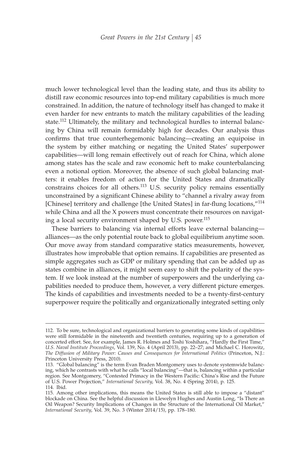much lower technological level than the leading state, and thus its ability to distill raw economic resources into top-end military capabilities is much more constrained. In addition, the nature of technology itself has changed to make it even harder for new entrants to match the military capabilities of the leading state.<sup>112</sup> Ultimately, the military and technological hurdles to internal balancing by China will remain formidably high for decades. Our analysis thus confirms that true counterhegemonic balancing—creating an equipoise in the system by either matching or negating the United States' superpower capabilities—will long remain effectively out of reach for China, which alone among states has the scale and raw economic heft to make counterbalancing even a notional option. Moreover, the absence of such global balancing matters: it enables freedom of action for the United States and dramatically constrains choices for all others.<sup>113</sup> U.S. security policy remains essentially unconstrained by a significant Chinese ability to "channel a rivalry away from [Chinese] territory and challenge [the United States] in far-flung locations,"<sup>114</sup> while China and all the X powers must concentrate their resources on navigating a local security environment shaped by U.S. power.<sup>115</sup>

These barriers to balancing via internal efforts leave external balancing alliances—as the only potential route back to global equilibrium anytime soon. Our move away from standard comparative statics measurements, however, illustrates how improbable that option remains. If capabilities are presented as simple aggregates such as GDP or military spending that can be added up as states combine in alliances, it might seem easy to shift the polarity of the system. If we look instead at the number of superpowers and the underlying capabilities needed to produce them, however, a very different picture emerges. The kinds of capabilities and investments needed to be a twenty-first-century superpower require the politically and organizationally integrated setting only

<sup>112.</sup> To be sure, technological and organizational barriers to generating some kinds of capabilities were still formidable in the nineteenth and twentieth centuries, requiring up to a generation of concerted effort. See, for example, James R. Holmes and Toshi Yoshihara, "Hardly the First Time," *U.S. Naval Institute Proceedings*, Vol. 139, No. 4 (April 2013), pp. 22–27; and Michael C. Horowitz, *The Diffusion of Military Power: Causes and Consequences for International Politics* (Princeton, N.J.: Princeton University Press, 2010).

<sup>113. &</sup>quot;Global balancing" is the term Evan Braden Montgomery uses to denote systemwide balancing, which he contrasts with what he calls "local balancing"—that is, balancing within a particular region. See Montgomery, "Contested Primacy in the Western Pacific: China's Rise and the Future of U.S. Power Projection," *International Security*, Vol. 38, No. 4 (Spring 2014), p. 125. 114. Ibid.

<sup>115.</sup> Among other implications, this means the United States is still able to impose a "distant" blockade on China. See the helpful discussion in Llewelyn Hughes and Austin Long, "Is There an Oil Weapon? Security Implications of Changes in the Structure of the International Oil Market," *International Security*, Vol. 39, No. 3 (Winter 2014/15), pp. 178–180.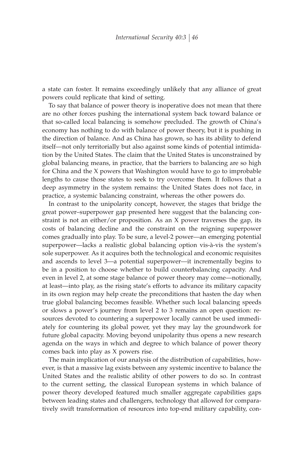a state can foster. It remains exceedingly unlikely that any alliance of great powers could replicate that kind of setting.

To say that balance of power theory is inoperative does not mean that there are no other forces pushing the international system back toward balance or that so-called local balancing is somehow precluded. The growth of China's economy has nothing to do with balance of power theory, but it is pushing in the direction of balance. And as China has grown, so has its ability to defend itself—not only territorially but also against some kinds of potential intimidation by the United States. The claim that the United States is unconstrained by global balancing means, in practice, that the barriers to balancing are so high for China and the X powers that Washington would have to go to improbable lengths to cause those states to seek to try overcome them. It follows that a deep asymmetry in the system remains: the United States does not face, in practice, a systemic balancing constraint, whereas the other powers do.

In contrast to the unipolarity concept, however, the stages that bridge the great power–superpower gap presented here suggest that the balancing constraint is not an either/or proposition. As an X power traverses the gap, its costs of balancing decline and the constraint on the reigning superpower comes gradually into play. To be sure, a level-2 power—an emerging potential superpower—lacks a realistic global balancing option vis-à-vis the system's sole superpower. As it acquires both the technological and economic requisites and ascends to level 3—a potential superpower—it incrementally begins to be in a position to choose whether to build counterbalancing capacity. And even in level 2, at some stage balance of power theory may come—notionally, at least—into play, as the rising state's efforts to advance its military capacity in its own region may help create the preconditions that hasten the day when true global balancing becomes feasible. Whether such local balancing speeds or slows a power's journey from level 2 to 3 remains an open question: resources devoted to countering a superpower locally cannot be used immediately for countering its global power, yet they may lay the groundwork for future global capacity. Moving beyond unipolarity thus opens a new research agenda on the ways in which and degree to which balance of power theory comes back into play as X powers rise.

The main implication of our analysis of the distribution of capabilities, however, is that a massive lag exists between any systemic incentive to balance the United States and the realistic ability of other powers to do so. In contrast to the current setting, the classical European systems in which balance of power theory developed featured much smaller aggregate capabilities gaps between leading states and challengers, technology that allowed for comparatively swift transformation of resources into top-end military capability, con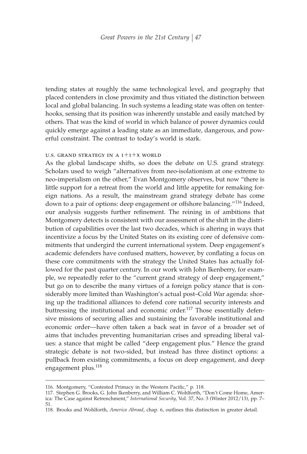tending states at roughly the same technological level, and geography that placed contenders in close proximity and thus vitiated the distinction between local and global balancing. In such systems a leading state was often on tenterhooks, sensing that its position was inherently unstable and easily matched by others. That was the kind of world in which balance of power dynamics could quickly emerge against a leading state as an immediate, dangerous, and powerful constraint. The contrast to today's world is stark.

#### U.S. GRAND STRATEGY IN A  $1+1+x$  world

As the global landscape shifts, so does the debate on U.S. grand strategy. Scholars used to weigh "alternatives from neo-isolationism at one extreme to neo-imperialism on the other," Evan Montgomery observes, but now "there is little support for a retreat from the world and little appetite for remaking foreign nations. As a result, the mainstream grand strategy debate has come down to a pair of options: deep engagement or offshore balancing."<sup>116</sup> Indeed, our analysis suggests further refinement. The reining in of ambitions that Montgomery detects is consistent with our assessment of the shift in the distribution of capabilities over the last two decades, which is altering in ways that incentivize a focus by the United States on its existing core of defensive commitments that undergird the current international system. Deep engagement's academic defenders have confused matters, however, by conflating a focus on these core commitments with the strategy the United States has actually followed for the past quarter century. In our work with John Ikenberry, for example, we repeatedly refer to the "current grand strategy of deep engagement," but go on to describe the many virtues of a foreign policy stance that is considerably more limited than Washington's actual post–Cold War agenda: shoring up the traditional alliances to defend core national security interests and buttressing the institutional and economic order.<sup>117</sup> Those essentially defensive missions of securing allies and sustaining the favorable institutional and economic order—have often taken a back seat in favor of a broader set of aims that includes preventing humanitarian crises and spreading liberal values: a stance that might be called "deep engagement plus." Hence the grand strategic debate is not two-sided, but instead has three distinct options: a pullback from existing commitments, a focus on deep engagement, and deep engagement plus.118

<sup>116.</sup> Montgomery, "Contested Primacy in the Western Pacific," p. 118.

<sup>117.</sup> Stephen G. Brooks, G. John Ikenberry, and William C. Wohlforth, "Don't Come Home, America: The Case against Retrenchment," *International Security*, Vol. 37, No. 3 (Winter 2012/13), pp. 7– 51.

<sup>118.</sup> Brooks and Wohlforth, *America Abroad*, chap. 6, outlines this distinction in greater detail.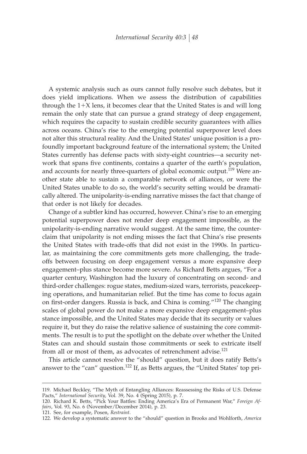A systemic analysis such as ours cannot fully resolve such debates, but it does yield implications. When we assess the distribution of capabilities through the  $1+X$  lens, it becomes clear that the United States is and will long remain the only state that can pursue a grand strategy of deep engagement, which requires the capacity to sustain credible security guarantees with allies across oceans. China's rise to the emerging potential superpower level does not alter this structural reality. And the United States' unique position is a profoundly important background feature of the international system; the United States currently has defense pacts with sixty-eight countries—a security network that spans five continents, contains a quarter of the earth's population, and accounts for nearly three-quarters of global economic output.<sup>119</sup> Were another state able to sustain a comparable network of alliances, or were the United States unable to do so, the world's security setting would be dramatically altered. The unipolarity-is-ending narrative misses the fact that change of that order is not likely for decades.

Change of a subtler kind has occurred, however. China's rise to an emerging potential superpower does not render deep engagement impossible, as the unipolarity-is-ending narrative would suggest. At the same time, the counterclaim that unipolarity is not ending misses the fact that China's rise presents the United States with trade-offs that did not exist in the 1990s. In particular, as maintaining the core commitments gets more challenging, the tradeoffs between focusing on deep engagement versus a more expansive deep engagement–plus stance become more severe. As Richard Betts argues, "For a quarter century, Washington had the luxury of concentrating on second- and third-order challenges: rogue states, medium-sized wars, terrorists, peacekeeping operations, and humanitarian relief. But the time has come to focus again on first-order dangers. Russia is back, and China is coming."<sup>120</sup> The changing scales of global power do not make a more expansive deep engagement–plus stance impossible, and the United States may decide that its security or values require it, but they do raise the relative salience of sustaining the core commitments. The result is to put the spotlight on the debate over whether the United States can and should sustain those commitments or seek to extricate itself from all or most of them, as advocates of retrenchment advise.<sup>121</sup>

This article cannot resolve the "should" question, but it does ratify Betts's answer to the "can" question.<sup>122</sup> If, as Betts argues, the "United States' top pri-

121. See, for example, Posen, *Restraint*.

<sup>119.</sup> Michael Beckley, "The Myth of Entangling Alliances: Reassessing the Risks of U.S. Defense Pacts," *International Security*, Vol. 39, No. 4 (Spring 2015), p. 7.

<sup>120.</sup> Richard K. Betts, "Pick Your Battles: Ending America's Era of Permanent War," *Foreign Affairs*, Vol. 93, No. 6 (November/December 2014), p. 23.

<sup>122.</sup> We develop a systematic answer to the "should" question in Brooks and Wohlforth, *America*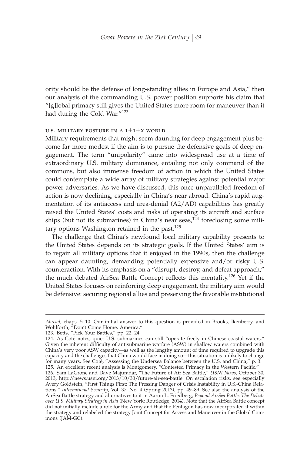ority should be the defense of long-standing allies in Europe and Asia," then our analysis of the commanding U.S. power position supports his claim that "[g]lobal primacy still gives the United States more room for maneuver than it had during the Cold War."<sup>123</sup>

#### U.S. MILITARY POSTURE IN A  $1+1+x$  WORLD

Military requirements that might seem daunting for deep engagement plus become far more modest if the aim is to pursue the defensive goals of deep engagement. The term "unipolarity" came into widespread use at a time of extraordinary U.S. military dominance, entailing not only command of the commons, but also immense freedom of action in which the United States could contemplate a wide array of military strategies against potential major power adversaries. As we have discussed, this once unparalleled freedom of action is now declining, especially in China's near abroad. China's rapid augmentation of its antiaccess and area-denial (A2/AD) capabilities has greatly raised the United States' costs and risks of operating its aircraft and surface ships (but not its submarines) in China's near seas,<sup>124</sup> foreclosing some military options Washington retained in the past.<sup>125</sup>

The challenge that China's newfound local military capability presents to the United States depends on its strategic goals. If the United States' aim is to regain all military options that it enjoyed in the 1990s, then the challenge can appear daunting, demanding potentially expensive and/or risky U.S. counteraction. With its emphasis on a "disrupt, destroy, and defeat approach," the much debated AirSea Battle Concept reflects this mentality.<sup>126</sup> Yet if the United States focuses on reinforcing deep engagement, the military aim would be defensive: securing regional allies and preserving the favorable institutional

*Abroad*, chaps. 5–10. Our initial answer to this question is provided in Brooks, Ikenberry, and Wohlforth, "Don't Come Home, America."

<sup>123.</sup> Betts, "Pick Your Battles," pp. 22, 24.

<sup>124.</sup> As Coté notes, quiet U.S. submarines can still "operate freely in Chinese coastal waters." Given the inherent difficulty of antisubmarine warfare (ASW) in shallow waters combined with China's very poor ASW capacity—as well as the lengthy amount of time required to upgrade this capacity and the challenges that China would face in doing so—this situation is unlikely to change for many years. See Coté, "Assessing the Undersea Balance between the U.S. and China," p. 3. 125. An excellent recent analysis is Montgomery, "Contested Primacy in the Western Pacific."

<sup>126.</sup> Sam LaGrone and Dave Majumdar, "The Future of Air Sea Battle," *USNI News*, October 30, 2013, http://news.usni.org/2013/10/30/future-air-sea-battle. On escalation risks, see especially Avery Goldstein, "First Things First: The Pressing Danger of Crisis Instability in U.S.-China Relations," *International Security*, Vol. 37, No. 4 (Spring 2013), pp. 49–89. See also the analysis of the AirSea Battle strategy and alternatives to it in Aaron L. Friedberg, *Beyond AirSea Battle: The Debate over U.S. Military Strategy in Asia* (New York: Routledge, 2014). Note that the AirSea Battle concept did not initially include a role for the Army and that the Pentagon has now incorporated it within the strategy and relabeled the strategy Joint Concept for Access and Maneuver in the Global Commons (JAM-GC).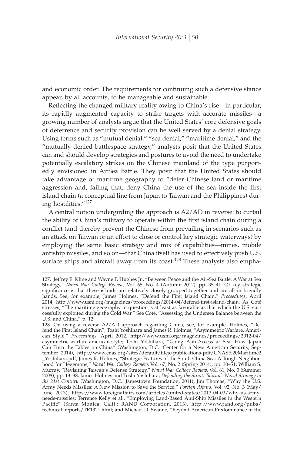and economic order. The requirements for continuing such a defensive stance appear, by all accounts, to be manageable and sustainable.

Reflecting the changed military reality owing to China's rise—in particular, its rapidly augmented capacity to strike targets with accurate missiles—a growing number of analysts argue that the United States' core defensive goals of deterrence and security provision can be well served by a denial strategy. Using terms such as "mutual denial," "sea denial," "maritime denial," and the "mutually denied battlespace strategy," analysts posit that the United States can and should develop strategies and postures to avoid the need to undertake potentially escalatory strikes on the Chinese mainland of the type purportedly envisioned in AirSea Battle. They posit that the United States should take advantage of maritime geography to "deter Chinese land or maritime aggression and, failing that, deny China the use of the sea inside the first island chain (a conceptual line from Japan to Taiwan and the Philippines) during hostilities."<sup>127</sup>

A central notion undergirding the approach is A2/AD in reverse: to curtail the ability of China's military to operate within the first island chain during a conflict (and thereby prevent the Chinese from prevailing in scenarios such as an attack on Taiwan or an effort to close or control key strategic waterways) by employing the same basic strategy and mix of capabilities—mines, mobile antiship missiles, and so on—that China itself has used to effectively push U.S. surface ships and aircraft away from its coast.<sup>128</sup> These analysts also empha-

<sup>127.</sup> Jeffrey E. Kline and Wayne P. Hughes Jr., "Between Peace and the Air-Sea Battle: A War at Sea Strategy," *Naval War College Review*, Vol. 65, No. 4 (Autumn 2012), pp. 35–41. Of key strategic significance is that these islands are relatively closely grouped together and are all in friendly hands. See, for example, James Holmes, "Defend the First Island Chain," *Proceedings*, April 2014, http://www.usni.org/magazines/proceedings/2014-04/defend-first-island-chain. As Coté stresses, "The maritime geography in question is at least as favorable as that which the U.S. successfully exploited during the Cold War." See Coté, "Assessing the Undersea Balance between the U.S. and China," p. 12.

<sup>128.</sup> On using a reverse A2/AD approach regarding China, see, for example, Holmes, "Defend the First Island Chain"; Toshi Yoshihara and James R. Holmes, "Asymmetric Warfare, American Style," *Proceedings*, April 2012, http://www.usni.org/magazines/proceedings/2012-04/ asymmetric-warfare-american-style; Toshi Yoshihara, "Going Anti-Access at Sea: How Japan Can Turn the Tables on China" (Washington, D.C.: Center for a New American Security, September 2014), http://www.cnas.org/sites/default/files/publications-pdf/CNAS%20Maritime2 \_Yoshihara.pdf; James R. Holmes, "Strategic Features of the South China Sea: A Tough Neighborhood for Hegemons," *Naval War College Review*, Vol. 67, No. 2 (Spring 2014), pp. 30–51; William S. Murray, "Revisiting Taiwan's Defense Strategy," *Naval War College Review*, Vol. 61, No. 3 (Summer 2008), pp. 13–38; James Holmes and Toshi Yoshihara, *Defending the Strait: Taiwan's Naval Strategy in the 21st Century* (Washington, D.C.: Jamestown Foundation, 2011); Jim Thomas, "Why the U.S. Army Needs Missiles: A New Mission to Save the Service," *Foreign Affairs*, Vol. 92, No. 3 (May/ June 2013), https://www.foreignaffairs.com/articles/united-states/2013-04-03/why-us-armyneeds-missiles; Terrence Kelly et al., "Employing Land-Based Anti-Ship Missiles in the Western Pacific" (Santa Monica, Calif.: RAND Corporation, 2013), http://www.rand.org/pubs/ technical\_reports/TR1321.html; and Michael D. Swaine, "Beyond American Predominance in the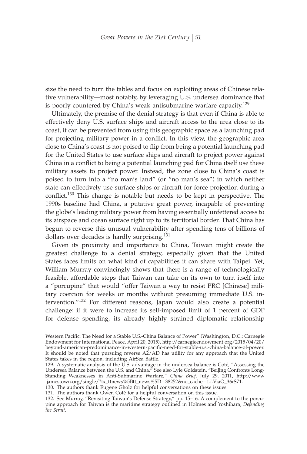size the need to turn the tables and focus on exploiting areas of Chinese relative vulnerability—most notably, by leveraging U.S. undersea dominance that is poorly countered by China's weak antisubmarine warfare capacity.<sup>129</sup>

Ultimately, the premise of the denial strategy is that even if China is able to effectively deny U.S. surface ships and aircraft access to the area close to its coast, it can be prevented from using this geographic space as a launching pad for projecting military power in a conflict. In this view, the geographic area close to China's coast is not poised to flip from being a potential launching pad for the United States to use surface ships and aircraft to project power against China in a conflict to being a potential launching pad for China itself use these military assets to project power. Instead, the zone close to China's coast is poised to turn into a "no man's land" (or "no man's sea") in which neither state can effectively use surface ships or aircraft for force projection during a conflict.<sup>130</sup> This change is notable but needs to be kept in perspective. The 1990s baseline had China, a putative great power, incapable of preventing the globe's leading military power from having essentially unfettered access to its airspace and ocean surface right up to its territorial border. That China has begun to reverse this unusual vulnerability after spending tens of billions of dollars over decades is hardly surprising.<sup>131</sup>

Given its proximity and importance to China, Taiwan might create the greatest challenge to a denial strategy, especially given that the United States faces limits on what kind of capabilities it can share with Taipei. Yet, William Murray convincingly shows that there is a range of technologically feasible, affordable steps that Taiwan can take on its own to turn itself into a "porcupine" that would "offer Taiwan a way to resist PRC [Chinese] military coercion for weeks or months without presuming immediate U.S. intervention."<sup>132</sup> For different reasons, Japan would also create a potential challenge: if it were to increase its self-imposed limit of 1 percent of GDP for defense spending, its already highly strained diplomatic relationship

Western Pacific: The Need for a Stable U.S.-China Balance of Power" (Washington, D.C.: Carnegie Endowment for International Peace, April 20, 2015), http://carnegieendowment.org/2015/04/20/ beyond-american-predominance-in-western-pacific-need-for-stable-u.s.-china-balance-of-power. It should be noted that pursuing reverse  $A\dot{2}/AD$  has utility for any approach that the United States takes in the region, including AirSea Battle.

<sup>129.</sup> A systematic analysis of the U.S. advantage in the undersea balance is Coté, "Assessing the Undersea Balance between the U.S. and China." See also Lyle Goldstein, "Beijing Confronts Long-Standing Weaknesses in Anti-Submarine Warfare," *China Brief*, July 29, 2011, http://www .jamestown.org/single/?tx\_ttnews%5Btt\_news%5D-38252&no\_cache-1#.ViaO\_36rS71.

<sup>130.</sup> The authors thank Eugene Gholz for helpful conversations on these issues. 131. The authors thank Owen Coté for a helpful conversation on this issue.

<sup>132.</sup> See Murray, "Revisiting Taiwan's Defense Strategy," pp. 15–16. A complement to the porcupine approach for Taiwan is the maritime strategy outlined in Holmes and Yoshihara, *Defending the Strait*.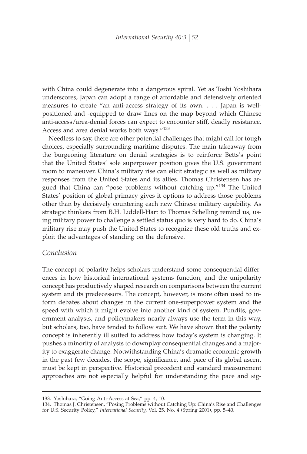with China could degenerate into a dangerous spiral. Yet as Toshi Yoshihara underscores, Japan can adopt a range of affordable and defensively oriented measures to create "an anti-access strategy of its own.... Japan is wellpositioned and -equipped to draw lines on the map beyond which Chinese anti-access/area-denial forces can expect to encounter stiff, deadly resistance. Access and area denial works both ways."<sup>133</sup>

Needless to say, there are other potential challenges that might call for tough choices, especially surrounding maritime disputes. The main takeaway from the burgeoning literature on denial strategies is to reinforce Betts's point that the United States' sole superpower position gives the U.S. government room to maneuver. China's military rise can elicit strategic as well as military responses from the United States and its allies. Thomas Christensen has argued that China can "pose problems without catching up."<sup>134</sup> The United States' position of global primacy gives it options to address those problems other than by decisively countering each new Chinese military capability. As strategic thinkers from B.H. Liddell-Hart to Thomas Schelling remind us, using military power to challenge a settled status quo is very hard to do. China's military rise may push the United States to recognize these old truths and exploit the advantages of standing on the defensive.

## *Conclusion*

The concept of polarity helps scholars understand some consequential differences in how historical international systems function, and the unipolarity concept has productively shaped research on comparisons between the current system and its predecessors. The concept, however, is more often used to inform debates about changes in the current one-superpower system and the speed with which it might evolve into another kind of system. Pundits, government analysts, and policymakers nearly always use the term in this way, but scholars, too, have tended to follow suit. We have shown that the polarity concept is inherently ill suited to address how today's system is changing. It pushes a minority of analysts to downplay consequential changes and a majority to exaggerate change. Notwithstanding China's dramatic economic growth in the past few decades, the scope, significance, and pace of its global ascent must be kept in perspective. Historical precedent and standard measurement approaches are not especially helpful for understanding the pace and sig-

<sup>133.</sup> Yoshihara, "Going Anti-Access at Sea," pp. 4, 10.

<sup>134.</sup> Thomas J. Christensen, "Posing Problems without Catching Up: China's Rise and Challenges for U.S. Security Policy," *International Security*, Vol. 25, No. 4 (Spring 2001), pp. 5–40.